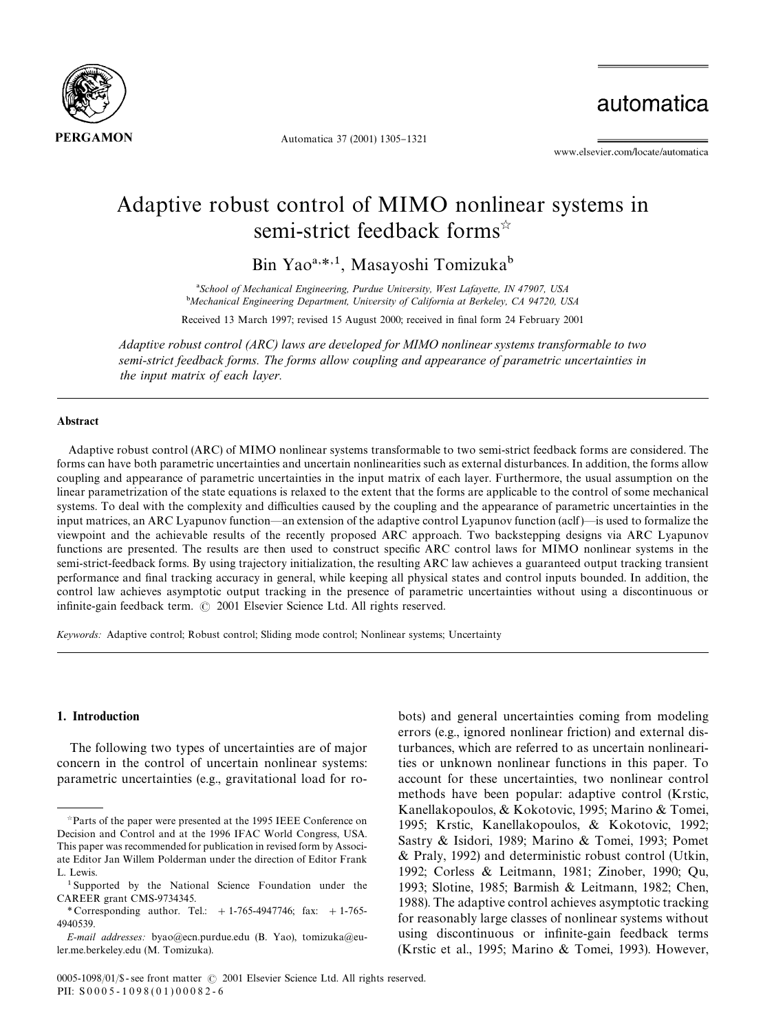

Automatica 37 (2001) 1305-1321

automatica

www.elsevier.com/locate/automatica

## Adaptive robust control of MIMO nonlinear systems in semi-strict feedback forms<sup>\*</sup>

Bin Yao<sup>a,\*,1</sup>, Masayoshi Tomizuka<sup>b</sup>

*School of Mechanical Engineering, Purdue University, West Lafayette, IN 47907, USA* -*Mechanical Engineering Department, University of California at Berkeley, CA 94720, USA* Received 13 March 1997; revised 15 August 2000; received in final form 24 February 2001

*Adaptive robust control (ARC) laws are developed for MIMO nonlinear systems transformable to two semi-strict feedback forms. The forms allow coupling and appearance of parametric uncertainties in the input matrix of each layer.*

#### Abstract

Adaptive robust control (ARC) of MIMO nonlinear systems transformable to two semi-strict feedback forms are considered.The forms can have both parametric uncertainties and uncertain nonlinearities such as external disturbances. In addition, the forms allow coupling and appearance of parametric uncertainties in the input matrix of each layer.Furthermore, the usual assumption on the linear parametrization of the state equations is relaxed to the extent that the forms are applicable to the control of some mechanical systems. To deal with the complexity and difficulties caused by the coupling and the appearance of parametric uncertainties in the input matrices, an ARC Lyapunov function—an extension of the adaptive control Lyapunov function (aclf)—is used to formalize the viewpoint and the achievable results of the recently proposed ARC approach.Two backstepping designs via ARC Lyapunov functions are presented. The results are then used to construct specific ARC control laws for MIMO nonlinear systems in the semi-strict-feedback forms.By using trajectory initialization, the resulting ARC law achieves a guaranteed output tracking transient performance and final tracking accuracy in general, while keeping all physical states and control inputs bounded. In addition, the control law achieves asymptotic output tracking in the presence of parametric uncertainties without using a discontinuous or infinite-gain feedback term.  $\odot$  2001 Elsevier Science Ltd. All rights reserved.

*Keywords:* Adaptive control; Robust control; Sliding mode control; Nonlinear systems; Uncertainty

## 1. Introduction

The following two types of uncertainties are of major concern in the control of uncertain nonlinear systems: parametric uncertainties (e.g., gravitational load for robots) and general uncertainties coming from modeling errors (e.g., ignored nonlinear friction) and external disturbances, which are referred to as uncertain nonlinearities or unknown nonlinear functions in this paper.To account for these uncertainties, two nonlinear control methods have been popular: adaptive control (Krstic, Kanellakopoulos, & Kokotovic, 1995; Marino & Tomei, 1995; Krstic, Kanellakopoulos, & Kokotovic, 1992; Sastry & Isidori, 1989; Marino & Tomei, 1993; Pomet & Praly, 1992) and deterministic robust control (Utkin, 1992; Corless & Leitmann, 1981; Zinober, 1990; Qu, 1993; Slotine, 1985; Barmish & Leitmann, 1982; Chen, 1988).The adaptive control achieves asymptotic tracking for reasonably large classes of nonlinear systems without using discontinuous or infinite-gain feedback terms (Krstic et al., 1995; Marino & Tomei, 1993). However,

Parts of the paper were presented at the 1995 IEEE Conference on Decision and Control and at the 1996 IFAC World Congress, USA. This paper was recommended for publication in revised form by Associate Editor Jan Willem Polderman under the direction of Editor Frank L. Lewis.

<sup>&</sup>lt;sup>1</sup> Supported by the National Science Foundation under the CAREER grant CMS-9734345.

*<sup>\*</sup>* Corresponding author. Tel.:  $+1-765-4947746$ ; fax:  $+1-765-$ 4940539.

*E-mail addresses:* byao@ecn.purdue.edu (B. Yao), tomizuka@euler.me.berkeley.edu (M. Tomizuka).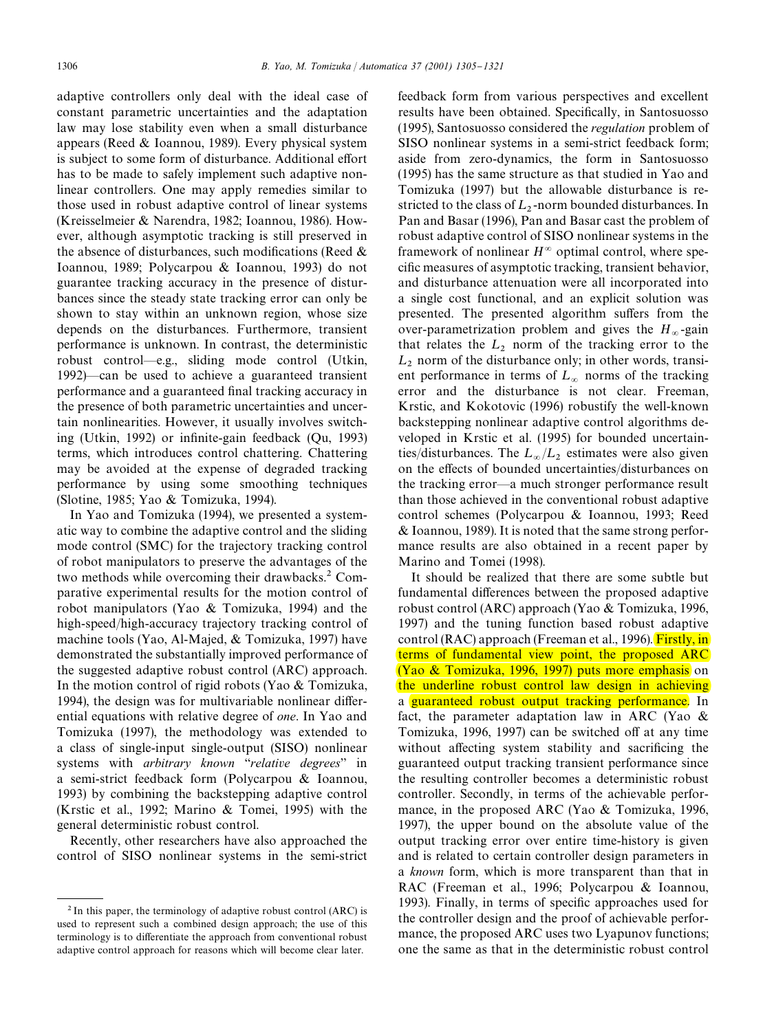adaptive controllers only deal with the ideal case of constant parametric uncertainties and the adaptation law may lose stability even when a small disturbance appears (Reed  $& Ioannon$ , 1989). Every physical system is subject to some form of disturbance. Additional effort has to be made to safely implement such adaptive nonlinear controllers. One may apply remedies similar to those used in robust adaptive control of linear systems (Kreisselmeier & Narendra, 1982; Ioannou, 1986). However, although asymptotic tracking is still preserved in the absence of disturbances, such modifications (Reed  $\&$ Ioannou, 1989; Polycarpou & Ioannou, 1993) do not guarantee tracking accuracy in the presence of disturbances since the steady state tracking error can only be shown to stay within an unknown region, whose size depends on the disturbances. Furthermore, transient performance is unknown.In contrast, the deterministic robust control\*e.g., sliding mode control (Utkin, 1992)—can be used to achieve a guaranteed transient performance and a guaranteed final tracking accuracy in the presence of both parametric uncertainties and uncertain nonlinearities.However, it usually involves switching (Utkin, 1992) or infinite-gain feedback (Qu, 1993) terms, which introduces control chattering. Chattering may be avoided at the expense of degraded tracking performance by using some smoothing techniques (Slotine, 1985; Yao & Tomizuka, 1994).

In Yao and Tomizuka (1994), we presented a systematic way to combine the adaptive control and the sliding mode control (SMC) for the trajectory tracking control of robot manipulators to preserve the advantages of the two methods while overcoming their drawbacks.<sup>2</sup> Comparative experimental results for the motion control of robot manipulators (Yao & Tomizuka, 1994) and the high-speed/high-accuracy trajectory tracking control of machine tools (Yao, Al-Majed, & Tomizuka, 1997) have demonstrated the substantially improved performance of the suggested adaptive robust control (ARC) approach. In the motion control of rigid robots (Yao & Tomizuka, 1994), the design was for multivariable nonlinear differential equations with relative degree of *one*.In Yao and Tomizuka (1997), the methodology was extended to a class of single-input single-output (SISO) nonlinear systems with *arbitrary known* "relative degrees" in a semi-strict feedback form (Polycarpou & Ioannou, 1993) by combining the backstepping adaptive control (Krstic et al., 1992; Marino & Tomei, 1995) with the general deterministic robust control.

Recently, other researchers have also approached the control of SISO nonlinear systems in the semi-strict

feedback form from various perspectives and excellent results have been obtained. Specifically, in Santosuosso (1995), Santosuosso considered the *regulation* problem of SISO nonlinear systems in a semi-strict feedback form; aside from zero-dynamics, the form in Santosuosso (1995) has the same structure as that studied in Yao and Tomizuka (1997) but the allowable disturbance is restricted to the class of  $L_2$ -norm bounded disturbances. In Pan and Basar (1996), Pan and Basar cast the problem of robust adaptive control of SISO nonlinear systems in the framework of nonlinear  $H^{\infty}$  optimal control, where specific measures of asymptotic tracking, transient behavior, and disturbance attenuation were all incorporated into a single cost functional, and an explicit solution was presented. The presented algorithm suffers from the over-parametrization problem and gives the  $H_{\infty}$ -gain that relates the  $L_2$  norm of the tracking error to the  $L_2$  norm of the disturbance only; in other words, transient performance in terms of  $L_{\infty}$  norms of the tracking error and the disturbance is not clear. Freeman, Krstic, and Kokotovic (1996) robustify the well-known backstepping nonlinear adaptive control algorithms developed in Krstic et al. (1995) for bounded uncertainties/disturbances. The  $L_{\infty}/L_2$  estimates were also given on the effects of bounded uncertainties/disturbances on the tracking error—a much stronger performance result than those achieved in the conventional robust adaptive control schemes (Polycarpou & Ioannou, 1993; Reed & Ioannou, 1989).It is noted that the same strong performance results are also obtained in a recent paper by Marino and Tomei (1998).

It should be realized that there are some subtle but fundamental differences between the proposed adaptive robust control (ARC) approach (Yao & Tomizuka, 1996, 1997) and the tuning function based robust adaptive control (RAC) approach (Freeman et al., 1996). Firstly, in terms of fundamental view point, the proposed ARC (Yao & Tomizuka, 1996, 1997) puts more emphasis on the underline robust control law design in achieving a guaranteed robust output tracking performance. In fact, the parameter adaptation law in ARC (Yao & Tomizuka, 1996, 1997) can be switched off at any time without affecting system stability and sacrificing the guaranteed output tracking transient performance since the resulting controller becomes a deterministic robust controller. Secondly, in terms of the achievable performance, in the proposed ARC (Yao & Tomizuka, 1996, 1997), the upper bound on the absolute value of the output tracking error over entire time-history is given and is related to certain controller design parameters in a *known* form, which is more transparent than that in RAC (Freeman et al., 1996; Polycarpou & Ioannou, 1993). Finally, in terms of specific approaches used for the controller design and the proof of achievable performance, the proposed ARC uses two Lyapunov functions; one the same as that in the deterministic robust control

 $2$ In this paper, the terminology of adaptive robust control (ARC) is used to represent such a combined design approach; the use of this terminology is to differentiate the approach from conventional robust adaptive control approach for reasons which will become clear later.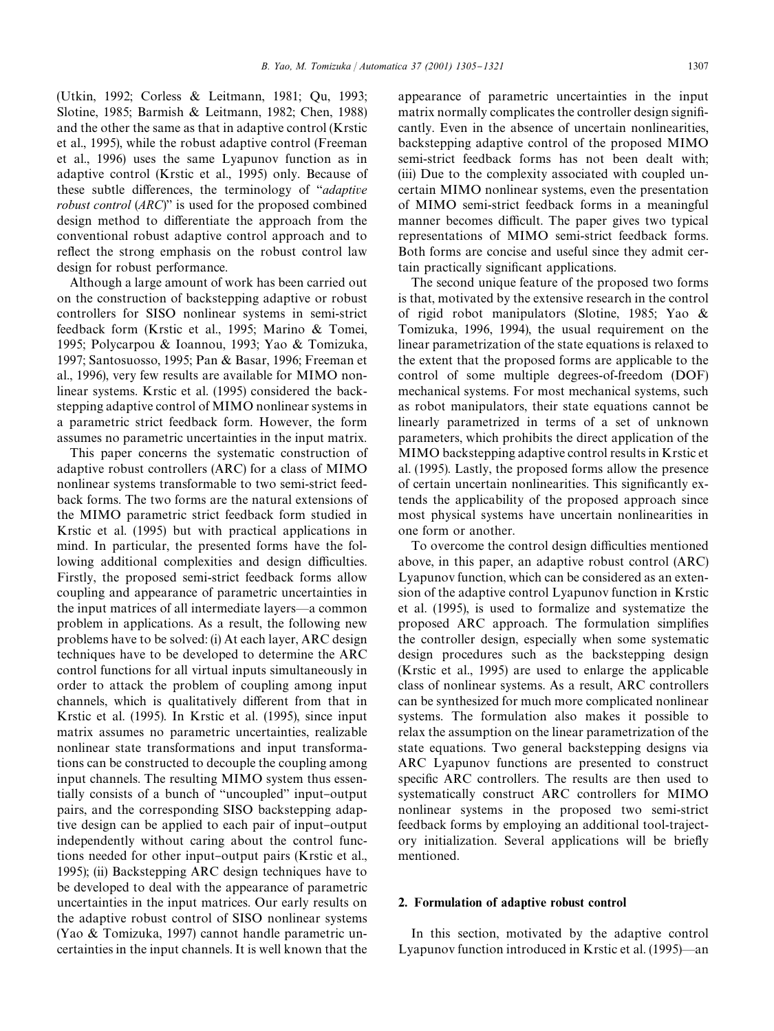(Utkin, 1992; Corless & Leitmann, 1981; Qu, 1993; Slotine, 1985; Barmish & Leitmann, 1982; Chen, 1988) and the other the same as that in adaptive control (Krstic et al., 1995), while the robust adaptive control (Freeman et al., 1996) uses the same Lyapunov function as in adaptive control (Krstic et al., 1995) only. Because of these subtle differences, the terminology of "*adaptive robust control* (*ARC*)" is used for the proposed combined design method to differentiate the approach from the conventional robust adaptive control approach and to reflect the strong emphasis on the robust control law design for robust performance.

Although a large amount of work has been carried out on the construction of backstepping adaptive or robust controllers for SISO nonlinear systems in semi-strict feedback form (Krstic et al., 1995; Marino & Tomei, 1995; Polycarpou & Ioannou, 1993; Yao & Tomizuka, 1997; Santosuosso, 1995; Pan & Basar, 1996; Freeman et al., 1996), very few results are available for MIMO nonlinear systems. Krstic et al. (1995) considered the backstepping adaptive control of MIMO nonlinear systems in a parametric strict feedback form.However, the form assumes no parametric uncertainties in the input matrix.

This paper concerns the systematic construction of adaptive robust controllers (ARC) for a class of MIMO nonlinear systems transformable to two semi-strict feedback forms.The two forms are the natural extensions of the MIMO parametric strict feedback form studied in Krstic et al.(1995) but with practical applications in mind.In particular, the presented forms have the following additional complexities and design difficulties. Firstly, the proposed semi-strict feedback forms allow coupling and appearance of parametric uncertainties in the input matrices of all intermediate layers—a common problem in applications.As a result, the following new problems have to be solved: (i) At each layer, ARC design techniques have to be developed to determine the ARC control functions for all virtual inputs simultaneously in order to attack the problem of coupling among input channels, which is qualitatively different from that in Krstic et al. (1995). In Krstic et al. (1995), since input matrix assumes no parametric uncertainties, realizable nonlinear state transformations and input transformations can be constructed to decouple the coupling among input channels. The resulting MIMO system thus essentially consists of a bunch of "uncoupled" input-output pairs, and the corresponding SISO backstepping adaptive design can be applied to each pair of input-output independently without caring about the control functions needed for other input-output pairs (Krstic et al., 1995); (ii) Backstepping ARC design techniques have to be developed to deal with the appearance of parametric uncertainties in the input matrices.Our early results on the adaptive robust control of SISO nonlinear systems (Yao & Tomizuka, 1997) cannot handle parametric uncertainties in the input channels.It is well known that the

appearance of parametric uncertainties in the input matrix normally complicates the controller design significantly.Even in the absence of uncertain nonlinearities, backstepping adaptive control of the proposed MIMO semi-strict feedback forms has not been dealt with; (iii) Due to the complexity associated with coupled uncertain MIMO nonlinear systems, even the presentation of MIMO semi-strict feedback forms in a meaningful manner becomes difficult. The paper gives two typical representations of MIMO semi-strict feedback forms. Both forms are concise and useful since they admit certain practically significant applications.

The second unique feature of the proposed two forms is that, motivated by the extensive research in the control of rigid robot manipulators (Slotine, 1985; Yao & Tomizuka, 1996, 1994), the usual requirement on the linear parametrization of the state equations is relaxed to the extent that the proposed forms are applicable to the control of some multiple degrees-of-freedom (DOF) mechanical systems. For most mechanical systems, such as robot manipulators, their state equations cannot be linearly parametrized in terms of a set of unknown parameters, which prohibits the direct application of the MIMO backstepping adaptive control results in Krstic et al.(1995).Lastly, the proposed forms allow the presence of certain uncertain nonlinearities. This significantly extends the applicability of the proposed approach since most physical systems have uncertain nonlinearities in one form or another.

To overcome the control design difficulties mentioned above, in this paper, an adaptive robust control (ARC) Lyapunov function, which can be considered as an extension of the adaptive control Lyapunov function in Krstic et al.(1995), is used to formalize and systematize the proposed ARC approach. The formulation simplifies the controller design, especially when some systematic design procedures such as the backstepping design (Krstic et al., 1995) are used to enlarge the applicable class of nonlinear systems.As a result, ARC controllers can be synthesized for much more complicated nonlinear systems.The formulation also makes it possible to relax the assumption on the linear parametrization of the state equations.Two general backstepping designs via ARC Lyapunov functions are presented to construct specific ARC controllers. The results are then used to systematically construct ARC controllers for MIMO nonlinear systems in the proposed two semi-strict feedback forms by employing an additional tool-trajectory initialization. Several applications will be briefly mentioned.

## 2. Formulation of adaptive robust control

In this section, motivated by the adaptive control Lyapunov function introduced in Krstic et al.  $(1995)$ —an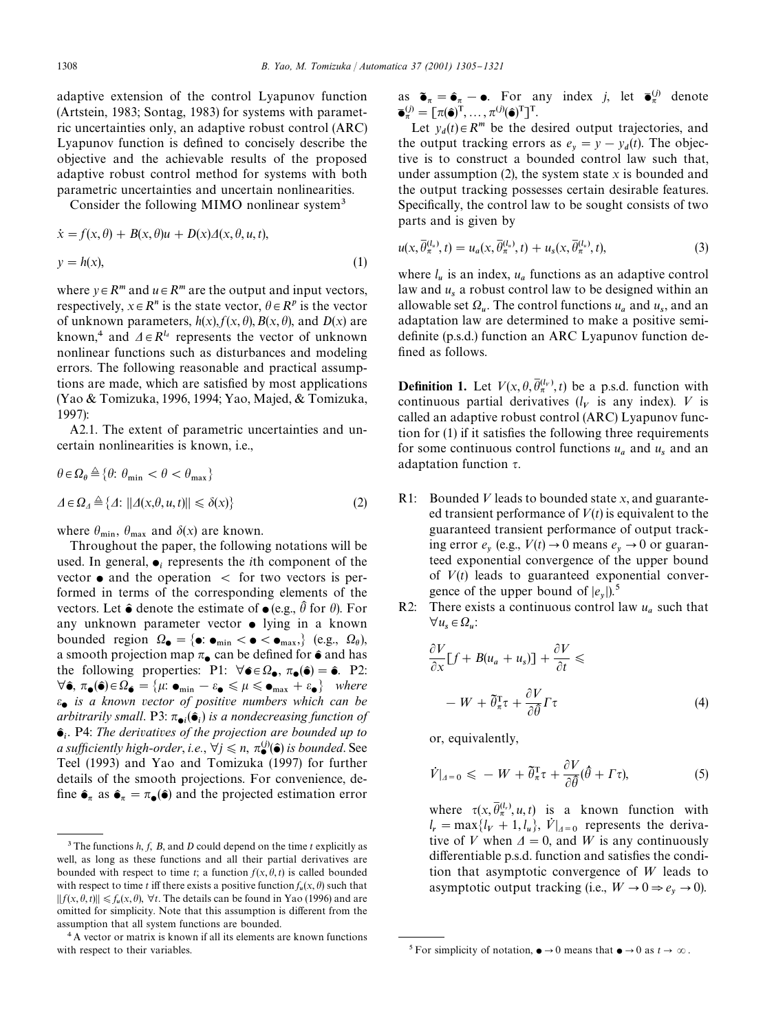adaptive extension of the control Lyapunov function (Artstein, 1983; Sontag, 1983) for systems with parametric uncertainties only, an adaptive robust control (ARC) Lyapunov function is defined to concisely describe the objective and the achievable results of the proposed adaptive robust control method for systems with both parametric uncertainties and uncertain nonlinearities.

Consider the following MIMO nonlinear system<sup>3</sup>

$$
\dot{x} = f(x, \theta) + B(x, \theta)u + D(x)\Delta(x, \theta, u, t),
$$
  

$$
y = h(x),
$$
 (1)

where  $y \in R^m$  and  $u \in R^m$  are the output and input vectors, respectively,  $x \in R^n$  is the state vector,  $\theta \in R^p$  is the vector of unknown parameters,  $h(x)$ ,  $f(x, \theta)$ ,  $B(x, \theta)$ , and  $D(x)$  are known,<sup>4</sup> and  $\Delta \in R^{l_d}$  represents the vector of unknown nonlinear functions such as disturbances and modeling errors.The following reasonable and practical assumptions are made, which are satisfied by most applications (Yao & Tomizuka, 1996, 1994; Yao, Majed, & Tomizuka, 1997):

A2.1. The extent of parametric uncertainties and uncertain nonlinearities is known, i.e.,

$$
\theta \in \Omega_{\theta} \triangleq \{ \theta: \theta_{\min} < \theta < \theta_{\max} \}
$$
\n
$$
\Delta \in \Omega_{\Delta} \triangleq \{ \Delta: \left\| \Delta(x, \theta, u, t) \right\| \leq \delta(x) \} \tag{2}
$$

where  $\theta_{\min}$ ,  $\theta_{\max}$  and  $\delta(x)$  are known.

Throughout the paper, the following notations will be used. In general,  $\bullet_i$  represents the *i*th component of the vector  $\bullet$  and the operation  $\lt$  for two vectors is performed in terms of the corresponding elements of the vectors. Let  $\hat{\bullet}$  denote the estimate of  $\bullet$  (e.g.,  $\hat{\theta}$  for  $\theta$ ). For any unknown parameter vector  $\bullet$  lying in a known bounded region  $\Omega_{\bullet} = {\bullet : \bullet_{\text{min}} < \bullet < \bullet_{\text{max}} }$ , (e.g.,  $\Omega_{\theta}$ ), a smooth projection map  $\pi_{\bullet}$  can be defined for  $\hat{\bullet}$  and has the following properties: P1:  $\forall \hat{\mathbf{\epsilon}} \in \Omega_{\hat{\mathbf{\epsilon}}}, \pi_{\hat{\mathbf{\epsilon}}}(\hat{\mathbf{\epsilon}}) = \hat{\mathbf{\epsilon}}$ . P2:  $\forall \hat{\bullet}, \pi_{\bullet}(\hat{\bullet}) \in \Omega_{\hat{\bullet}} = {\mu : \bullet_{\min} - \varepsilon_{\bullet} \leq \mu \leq \bullet_{\max} + \varepsilon_{\bullet}} \ \ where$  *is a known vector of positive numbers which can be arbitrarily small.* P3:  $\pi_{\bullet i}(\hat{\bullet}_i)$  *is a nondecreasing function of*  $\hat{\bullet}_i$ . P4: The derivatives of the projection are bounded up to *a sufficiently high-order, i.e.,*  $\forall j \leq n$ ,  $\pi_{\bullet}^{(j)}(\hat{\bullet})$  *is bounded.* See Teel (1993) and Yao and Tomizuka (1997) for further details of the smooth projections.For convenience, de fine  $\hat{\bullet}_\pi$  as  $\hat{\bullet}_\pi = \pi_\bullet(\hat{\bullet})$  and the projected estimation error

as  $\tilde{\bullet}_{\pi} = \hat{\bullet}_{\pi} - \bullet$ . For any index *j*, let  $\bar{\bullet}_{\pi}^{(j)}$  denote  $\overline{\bullet}_{\pi}^{(j)} = [\pi(\widehat{\bullet})^{\mathrm{T}}, \dots, \pi^{(j)}(\widehat{\bullet})^{\mathrm{T}}]^{\mathrm{T}}.$ 

Let  $y_d(t) \in R^m$  be the desired output trajectories, and the output tracking errors as  $e_y = y - y_d(t)$ . The objec- tive is to construct a bounded control law such that, under assumption (2), the system state *x* is bounded and the output tracking possesses certain desirable features. Specifically, the control law to be sought consists of two parts and is given by

$$
u(x,\overline{\theta}_{\pi}^{(l_u)},t) = u_a(x,\overline{\theta}_{\pi}^{(l_u)},t) + u_s(x,\overline{\theta}_{\pi}^{(l_u)},t),
$$
\n(3)

where  $l_u$  is an index,  $u_a$  functions as an adaptive control law and *u*<sub>s</sub> a robust control law to be designed within an allowable set  $\Omega_u$ . The control functions  $u_a$  and  $u_s$ , and an adaptation law are determined to make a positive semidefinite (p.s.d.) function an ARC Lyapunov function defined as follows.

**Definition 1.** Let  $V(x, \theta, \overline{\theta}_{\pi}^{(l_v)}, t)$  be a p.s.d. function with continuous partial derivatives  $(l_V$  is any index). V is called an adaptive robust control (ARC) Lyapunov function for  $(1)$  if it satisfies the following three requirements for some continuous control functions  $u_a$  and  $u_s$  and an adaptation function  $\tau$ .

- R1: Bounded V leads to bounded state *x*, and guaranteed transient performance of  $V(t)$  is equivalent to the guaranteed transient performance of output tracking error  $e_y$  (e.g.,  $V(t) \rightarrow 0$  means  $e_y \rightarrow 0$  or guaran teed exponential convergence of the upper bound of  $V(t)$  leads to guaranteed exponential convergence of the upper bound of  $|e_y|$ .<sup>5</sup>
- R2: There exists a continuous control law  $u_a$  such that  $\forall u_s \in \Omega_u$ :

$$
\frac{\partial V}{\partial x}[f + B(u_a + u_s)] + \frac{\partial V}{\partial t} \le
$$
  
- W +  $\tilde{\theta}_\pi^T \tau + \frac{\partial V}{\partial \tilde{\theta}} \Gamma \tau$  (4)

or, equivalently,

$$
\dot{V}|_{A=0} \leqslant -W + \tilde{\theta}_{\pi}^{\mathrm{T}} \tau + \frac{\partial V}{\partial \hat{\theta}} (\hat{\theta} + \Gamma \tau), \tag{5}
$$

where  $\tau(x, \overline{\theta}_{\pi}^{(l_r)}, u, t)$  is a known function with  $l_r = \max\{l_V + 1, l_u\}, V|_{A=0}$  represents the derivative of V when  $\Delta = 0$ , and W is any continuously differentiable p.s.d. function and satisfies the condition that asymptotic convergence of  $W$  leads to asymptotic output tracking (i.e.,  $W \to 0 \Rightarrow e_y \to 0$ ).

 $^3$  The functions  $h, f, B$ , and  $D$  could depend on the time  $t$  explicitly as well, as long as these functions and all their partial derivatives are bounded with respect to time *t*; a function  $f(x, \theta, t)$  is called bounded with respect to time *t* iff there exists a positive function  $f_u(x, \theta)$  such that  $|| f(x, \theta, t) || \le f_u(x, \theta), \forall t$ . The details can be found in Yao (1996) and are omitted for simplicity. Note that this assumption is different from the assumption that all system functions are bounded.

<sup>&</sup>lt;sup>4</sup> A vector or matrix is known if all its elements are known functions with respect to their variables. For simplicity of notation,  $\bullet \rightarrow 0$  means that  $\bullet \rightarrow 0$  as  $t \rightarrow \infty$ .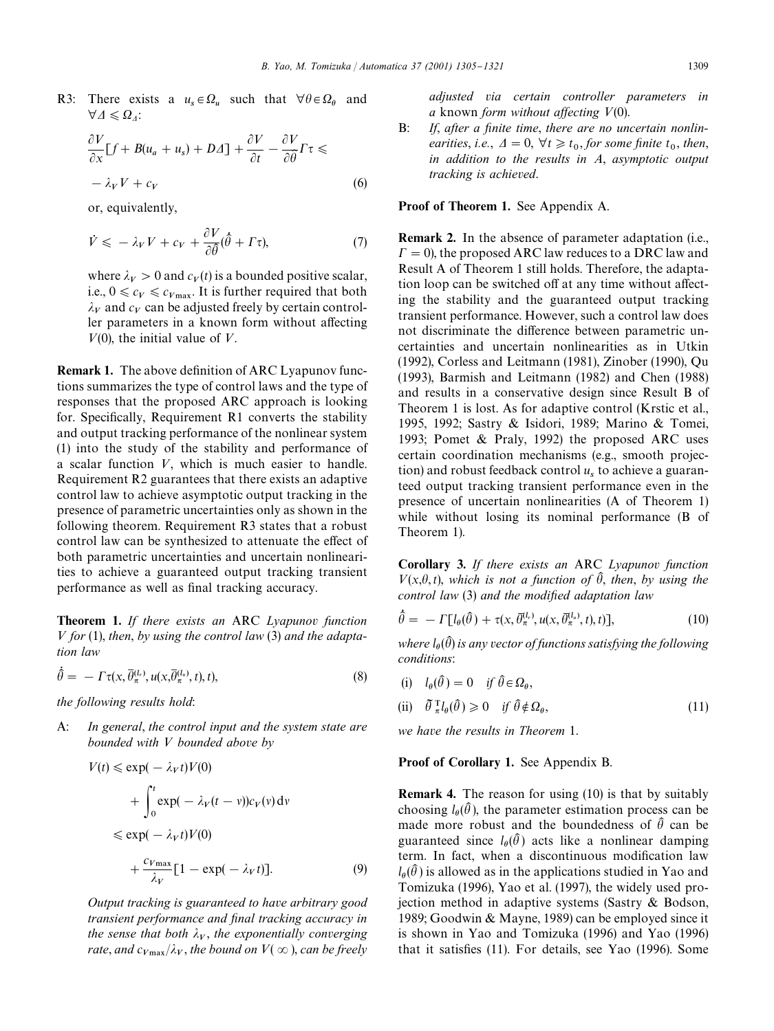R3: There exists a  $u_s \in \Omega_u$  such that  $\forall \theta \in \Omega_\theta$  and  $\forall \Delta \leqslant \Omega_{\Delta}$ :

$$
\frac{\partial V}{\partial x}[f + B(u_a + u_s) + D\Delta] + \frac{\partial V}{\partial t} - \frac{\partial V}{\partial \hat{\theta}}\Gamma \tau \leq -\lambda_V V + c_V
$$
\n(6)

or, equivalently,

$$
\dot{V} \leqslant -\lambda_V V + c_V + \frac{\partial V}{\partial \hat{\theta}} (\hat{\theta} + \Gamma \tau), \tag{7}
$$

where  $\lambda_V > 0$  and  $c_V(t)$  is a bounded positive scalar, i.e.,  $0 \leq c_V \leq c_{V_{\text{max}}}$ . It is further required that both  $\lambda_V$  and  $c_V$  can be adjusted freely by certain controller parameters in a known form without affecting  $V(0)$ , the initial value of V.

**Remark 1.** The above definition of ARC Lyapunov functions summarizes the type of control laws and the type of responses that the proposed ARC approach is looking for. Specifically, Requirement R1 converts the stability and output tracking performance of the nonlinear system (1) into the study of the stability and performance of a scalar function  $V$ , which is much easier to handle. Requirement R2 guarantees that there exists an adaptive control law to achieve asymptotic output tracking in the presence of parametric uncertainties only as shown in the following theorem. Requirement R3 states that a robust control law can be synthesized to attenuate the effect of both parametric uncertainties and uncertain nonlinearities to achieve a guaranteed output tracking transient performance as well as final tracking accuracy.

Theorem 1. *If there exists an* ARC *Lyapunov function* < *for* (1), *then*, *by using the control law* (3) *and the adaptation law*

$$
\hat{\theta} = -\Gamma \tau(x, \overline{\theta}_{\pi}^{(l_r)}, u(x, \overline{\theta}_{\pi}^{(l_u)}, t), t), \qquad (8)
$$

*the following results hold*:

A: *In general*, *the control input and the system state are bounded with* < *bounded above by*

$$
V(t) \le \exp(-\lambda_V t)V(0)
$$
  
+ 
$$
\int_0^t \exp(-\lambda_V(t-v))c_V(v) dv
$$
  

$$
\le \exp(-\lambda_V t)V(0)
$$
  
+ 
$$
\frac{c_{V_{\text{max}}}}{\lambda_V}[1 - \exp(-\lambda_V t)].
$$
 (9)

*Output tracking is guaranteed to have arbitrary good transient performance and final tracking accuracy in* the sense that both  $\lambda_V$ , the exponentially converging  $\tau$  *rate, and*  $c_{V\text{max}}/\lambda_V$ *, the bound on*  $V(\infty)$ , *can be freely* 

*adjusted via certain controller parameters in a* known *form without affecting*  $V(0)$ .

B: If, after a finite time, there are no uncertain nonlin*earities, i.e.,*  $\Delta = 0$ ,  $\forall t \geq t_0$ , for some finite  $t_0$ , then, *in addition to the results in A*, *asymptotic output tracking is achieved*.

Proof of Theorem 1. See Appendix A.

Remark 2. In the absence of parameter adaptation (i.e.,  $\Gamma = 0$ , the proposed ARC law reduces to a DRC law and Result A of Theorem 1 still holds.Therefore, the adaptation loop can be switched off at any time without affecting the stability and the guaranteed output tracking transient performance.However, such a control law does not discriminate the difference between parametric uncertainties and uncertain nonlinearities as in Utkin (1992), Corless and Leitmann (1981), Zinober (1990), Qu (1993), Barmish and Leitmann (1982) and Chen (1988) and results in a conservative design since Result B of Theorem 1 is lost. As for adaptive control (Krstic et al., 1995, 1992; Sastry & Isidori, 1989; Marino & Tomei, 1993; Pomet & Praly, 1992) the proposed ARC uses certain coordination mechanisms (e.g., smooth projection) and robust feedback control  $u_s$  to achieve a guaranteed output tracking transient performance even in the presence of uncertain nonlinearities (A of Theorem 1) while without losing its nominal performance (B of Theorem 1).

Corollary 3. *If there exists an* ARC *Lyapunov function*  $V(x, \theta, t)$ , which is not a function of  $\hat{\theta}$ , then, by using the *control law* (3) *and the modified adaptation law* 

$$
\hat{\theta} = -\Gamma[l_{\theta}(\hat{\theta}) + \tau(x, \bar{\theta}_{\pi}^{(l_{\tau})}, u(x, \bar{\theta}_{\pi}^{(l_{\tau})}, t), t)],
$$
\n(10)

where  $l_{\theta}(\widehat{\theta})$  is any vector of functions satisfying the following *conditions*:

- (i)  $l_{\theta}(\hat{\theta}) = 0$  if  $\hat{\theta} \in \Omega_{\theta}$ ,
- (ii)  $\tilde{\theta} \_n^{\mathrm{T}} l_{\theta}(\hat{\theta}) \geq 0$  *if*  $\hat{\theta} \notin \Omega_{\theta}$  $(11)$

*we have the results in Theorem* 1.

#### Proof of Corollary 1. See Appendix B.

Remark 4. The reason for using (10) is that by suitably choosing  $l_{\theta}(\hat{\theta})$ , the parameter estimation process can be made more robust and the boundedness of  $\hat{\theta}$  can be guaranteed since  $l_{\theta}(\hat{\theta})$  acts like a nonlinear damping term. In fact, when a discontinuous modification law  $l_{\theta}(\hat{\theta})$  is allowed as in the applications studied in Yao and Tomizuka (1996), Yao et al.(1997), the widely used projection method in adaptive systems (Sastry & Bodson, 1989; Goodwin & Mayne, 1989) can be employed since it is shown in Yao and Tomizuka (1996) and Yao (1996) that it satisfies  $(11)$ . For details, see Yao  $(1996)$ . Some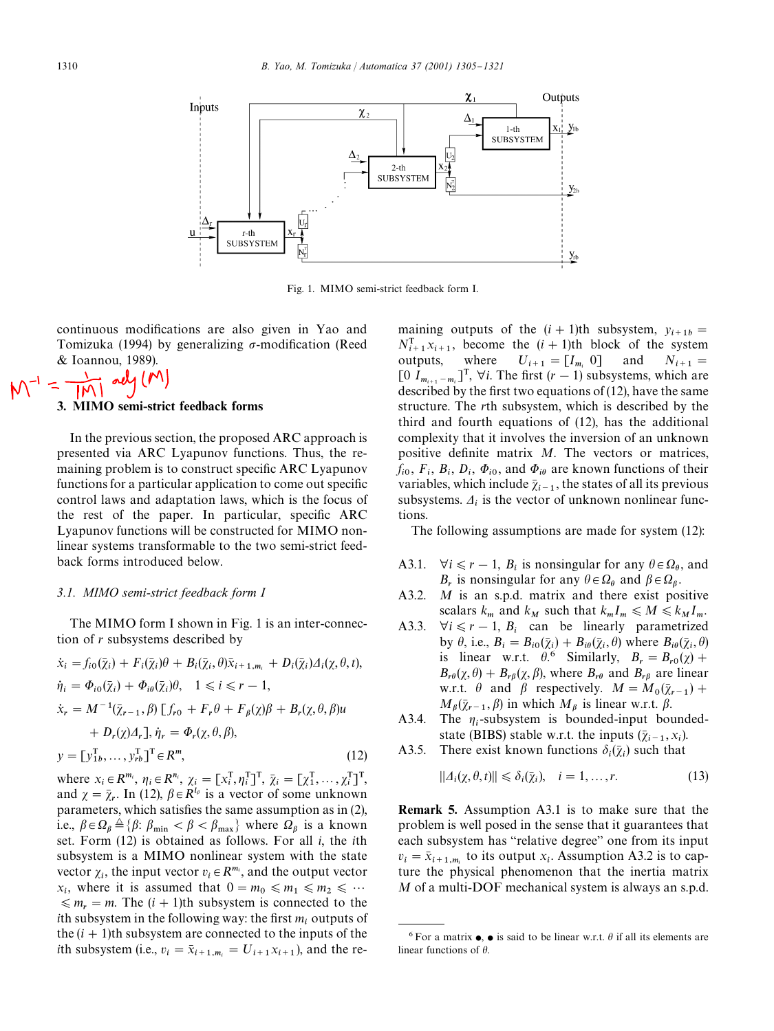

Fig.1. MIMO semi-strict feedback form I.

continuous modifications are also given in Yao and Tomizuka (1994) by generalizing  $\sigma$ -modification (Reed & Ioannou, 1989).<br> $\frac{1}{2}$  alg (M)

# 3. MIMO semi-strict feedback forms

## In the previous section, the proposed ARC approach is presented via ARC Lyapunov functions.Thus, the remaining problem is to construct specific ARC Lyapunov functions for a particular application to come out specific control laws and adaptation laws, which is the focus of the rest of the paper. In particular, specific ARC Lyapunov functions will be constructed for MIMO nonlinear systems transformable to the two semi-strict feedback forms introduced below.

#### *3.1. MIMO semi-strict feedback form I*

The MIMO form I shown in Fig. 1 is an inter-connection of *r* subsystems described by

$$
\begin{aligned}\n\dot{x}_i &= f_{i0}(\bar{\chi}_i) + F_i(\bar{\chi}_i)\theta + B_i(\bar{\chi}_i, \theta)\bar{x}_{i+1,m_i} + D_i(\bar{\chi}_i)\Delta_i(\chi, \theta, t), \\
\dot{\eta}_i &= \Phi_{i0}(\bar{\chi}_i) + \Phi_{i\theta}(\bar{\chi}_i)\theta, \quad 1 \leq i \leq r - 1, \\
\dot{x}_r &= M^{-1}(\bar{\chi}_{r-1}, \beta) [f_{r0} + F_r \theta + F_\beta(\chi)\beta + B_r(\chi, \theta, \beta)u \\
&\quad + D_r(\chi)\Delta_r], \dot{\eta}_r = \Phi_r(\chi, \theta, \beta), \\
y &= [y_{1b}^T, \dots, y_{rb}^T]^T \in R^m,\n\end{aligned}
$$
\n(12)

where  $x_i \in R^{m_i}$ ,  $\eta_i \in R^{n_i}$ ,  $\chi_i = [x_i^T, \eta_i^T]^T$ ,  $\bar{\chi}_i = [x_1^T, \dots, x_i^T]^T$ , and  $\chi = \bar{\chi}_r$ . In (12),  $\beta \in R^{l_\beta}$  is a vector of some unknown parameters, which satisfies the same assumption as in (2), i.e.,  $\beta \in \Omega_{\beta} \triangleq \{\beta : \beta_{\min} < \beta < \beta_{\max}\}\$  where  $\Omega_{\beta}$  is a known set.Form (12) is obtained as follows.For all *i*, the *i*th subsystem is a MIMO nonlinear system with the state vector  $\chi_i$ , the input vector  $v_i \in R^{m_i}$ , and the output vector  $x_i$ , where it is assumed that  $0 = m_0 \le m_1 \le m_2 \le \cdots$  $\leq m_r = m$ . The  $(i + 1)$ th subsystem is connected to the *i*th subsystem in the following way: the first  $m_i$  outputs of the  $(i + 1)$ th subsystem are connected to the inputs of the *i*th subsystem (i.e.,  $v_i = \bar{x}_{i+1,m_i} = U_{i+1}x_{i+1}$ ), and the re-

maining outputs of the  $(i + 1)$ th subsystem,  $y_{i+1b} =$  $N_{i+1}^{\text{T}} x_{i+1}$ , become the  $(i + 1)$ th block of the system outputs, where  $U_{i+1} = [I_{m_i} \ 0]$  and  $N_{i+1} = [0 \ I_{m_{i+1} - m_i}]^T$ ,  $\forall i$ . The first  $(r - 1)$  subsystems, which are  $\bar{I} = \bar{I}_{m_i}$  $N_{i+1} =$ described by the first two equations of  $(12)$ , have the same structure.The *r*th subsystem, which is described by the third and fourth equations of (12), has the additional complexity that it involves the inversion of an unknown positive definite matrix *M*. The vectors or matrices,  $f_{i0}$ ,  $F_i$ ,  $B_i$ ,  $D_i$ ,  $\Phi_{i0}$ , and  $\Phi_{i\theta}$  are known functions of their variables, which include  $\bar{\chi}_{i-1}$ , the states of all its previous subsystems.  $\Delta_i$  is the vector of unknown nonlinear functions.

The following assumptions are made for system (12):

- A3.1.  $\forall i \leq r-1, B_i$  is nonsingular for any  $\theta \in \Omega_\theta$ , and  $B_r$  is nonsingular for any  $\theta \in \Omega_\theta$  and  $\beta \in \Omega_\beta$ .
- A3.2. *M* is an s.p.d. matrix and there exist positive scalars  $k_m$  and  $k_M$  such that  $k_m I_m \leq M \leq k_M I_m$ .
- A3.3.  $\forall i \leq r-1$ ,  $B_i$  can be linearly parametrized by  $\theta$ , i.e.,  $B_i = B_{i0}(\bar{\chi}_i) + B_{i\theta}(\bar{\chi}_i, \theta)$  where  $B_{i\theta}(\bar{\chi}_i, \theta)$ is linear w.r.t.  $\theta$ <sup>6</sup> Similarly,  $B_r = B_{r0}(\chi) +$  $B_{r\theta}(\chi, \theta) + B_{r\beta}(\chi, \beta)$ , where  $B_{r\theta}$  and  $B_{r\beta}$  are linear w.r.t.  $\theta$  and  $\beta$  respectively.  $M = M_0(\bar{\chi}_{r-1}) +$  $M_\beta(\bar{\chi}_{r-1}, \beta)$  in which  $M_\beta$  is linear w.r.t.  $\beta$ .
- A3.4. The  $\eta_i$ -subsystem is bounded-input boundedstate (BIBS) stable w.r.t. the inputs  $(\bar{\chi}_{i-1}, x_i)$ .
- A3.5. There exist known functions  $\delta_i(\bar{\chi}_i)$  such that

$$
||\Delta_i(\chi, \theta, t)|| \leq \delta_i(\bar{\chi}_i), \quad i = 1, \dots, r. \tag{13}
$$

Remark 5. Assumption A3.1 is to make sure that the problem is well posed in the sense that it guarantees that each subsystem has "relative degree" one from its input  $v_i = \bar{x}_{i+1,m_i}$  to its output *x*<sub>i</sub>. Assumption A3.2 is to cap- ture the physical phenomenon that the inertia matrix *M* of a multi-DOF mechanical system is always an s.p.d.

<sup>&</sup>lt;sup>6</sup> For a matrix  $\bullet$ ,  $\bullet$  is said to be linear w.r.t.  $\theta$  if all its elements are linear functions of  $\theta$ .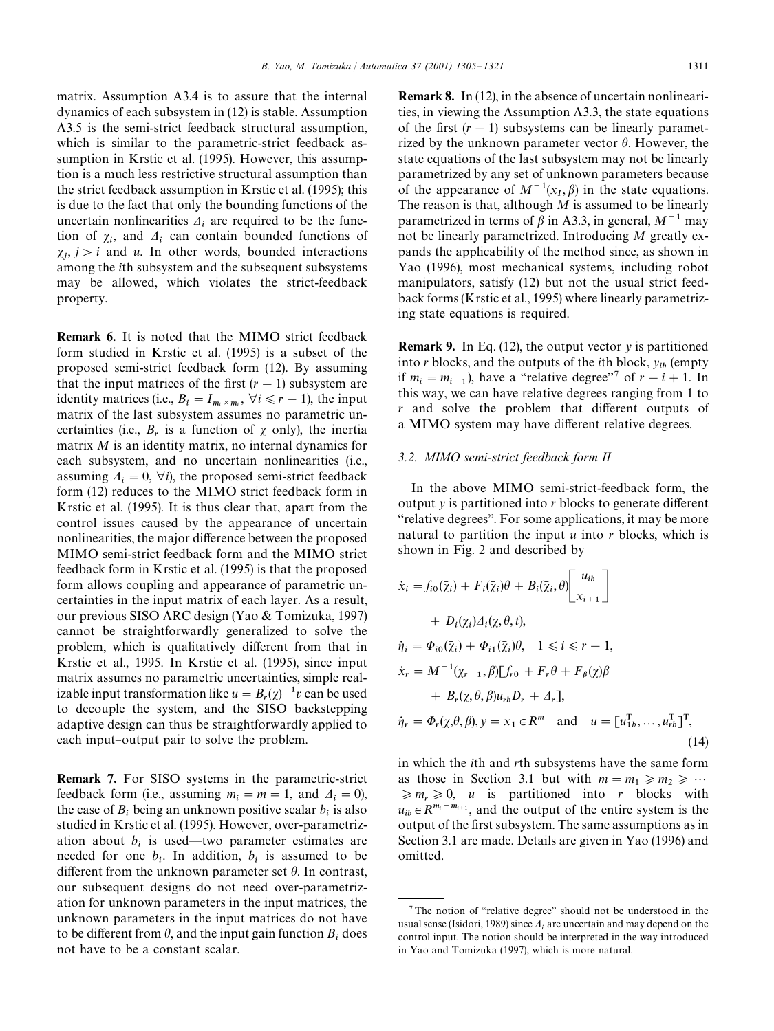matrix. Assumption A3.4 is to assure that the internal dynamics of each subsystem in (12) is stable.Assumption A3.5 is the semi-strict feedback structural assumption, which is similar to the parametric-strict feedback assumption in Krstic et al. (1995). However, this assumption is a much less restrictive structural assumption than the strict feedback assumption in Krstic et al.(1995); this is due to the fact that only the bounding functions of the uncertain nonlinearities  $\Delta_i$  are required to be the function of  $\bar{\chi}_i$ , and  $\Delta_i$  can contain bounded functions of  $\chi_j$ ,  $j > i$  and *u*. In other words, bounded interactions among the *i*th subsystem and the subsequent subsystems may be allowed, which violates the strict-feedback property.

Remark 6. It is noted that the MIMO strict feedback form studied in Krstic et al.(1995) is a subset of the proposed semi-strict feedback form (12). By assuming that the input matrices of the first  $(r - 1)$  subsystem are identity matrices (i.e.,  $B_i = I_{m_i \times m_i}$ ,  $\forall i \leq r - 1$ ), the input matrix of the last subsystem assumes no parametric uncertainties (i.e.,  $B_r$  is a function of  $\chi$  only), the inertia matrix *M* is an identity matrix, no internal dynamics for each subsystem, and no uncertain nonlinearities (i.e., assuming  $\Delta_i = 0$ ,  $\forall i$ ), the proposed semi-strict feedback form (12) reduces to the MIMO strict feedback form in Krstic et al. (1995). It is thus clear that, apart from the control issues caused by the appearance of uncertain nonlinearities, the major difference between the proposed MIMO semi-strict feedback form and the MIMO strict feedback form in Krstic et al.(1995) is that the proposed form allows coupling and appearance of parametric uncertainties in the input matrix of each layer. As a result, our previous SISO ARC design (Yao & Tomizuka, 1997) cannot be straightforwardly generalized to solve the problem, which is qualitatively different from that in Krstic et al., 1995. In Krstic et al. (1995), since input matrix assumes no parametric uncertainties, simple realizable input transformation like  $u = B_r(\chi)^{-1}v$  can be used to decouple the system, and the SISO backstepping adaptive design can thus be straightforwardly applied to each input-output pair to solve the problem.

Remark 7. For SISO systems in the parametric-strict feedback form (i.e., assuming  $m_i = m = 1$ , and  $\Delta_i = 0$ ), the case of  $B_i$  being an unknown positive scalar  $b_i$  is also studied in Krstic et al. (1995). However, over-parametrization about  $b_i$  is used—two parameter estimates are needed for one  $b_i$ . In addition,  $b_i$  is assumed to be different from the unknown parameter set  $\theta$ . In contrast, our subsequent designs do not need over-parametrization for unknown parameters in the input matrices, the unknown parameters in the input matrices do not have to be different from  $\theta$ , and the input gain function  $B_i$  does not have to be a constant scalar.

Remark 8. In (12), in the absence of uncertain nonlinearities, in viewing the Assumption A3.3, the state equations of the first  $(r - 1)$  subsystems can be linearly parametrized by the unknown parameter vector  $\theta$ . However, the state equations of the last subsystem may not be linearly parametrized by any set of unknown parameters because of the appearance of  $M^{-1}(x_I, \beta)$  in the state equations. The reason is that, although *M* is assumed to be linearly parametrized in terms of  $\beta$  in A3.3, in general,  $M^{-1}$  may not be linearly parametrized.Introducing *M* greatly expands the applicability of the method since, as shown in Yao (1996), most mechanical systems, including robot manipulators, satisfy (12) but not the usual strict feedback forms (Krstic et al., 1995) where linearly parametrizing state equations is required.

Remark 9. In Eq.(12), the output vector *y* is partitioned into *r* blocks, and the outputs of the *i*th block,  $y_{ib}$  (empty if  $m_i = m_{i-1}$ ), have a "relative degree"<sup>7</sup> of  $r - i + 1$ . In this way, we can have relative degrees ranging from 1 to *r* and solve the problem that different outputs of a MIMO system may have different relative degrees.

## *3.2. MIMO semi-strict feedback form II*

In the above MIMO semi-strict-feedback form, the output  $\gamma$  is partitioned into  $r$  blocks to generate different "relative degrees". For some applications, it may be more natural to partition the input *u* into *r* blocks, which is shown in Fig. 2 and described by

$$
\begin{aligned}\n\dot{x}_i &= f_{i0}(\bar{\chi}_i) + F_i(\bar{\chi}_i)\theta + B_i(\bar{\chi}_i, \theta) \begin{bmatrix} u_{ib} \\ x_{i+1} \end{bmatrix} \\
&+ D_i(\bar{\chi}_i) \Delta_i(\chi, \theta, t), \\
\dot{\eta}_i &= \Phi_{i0}(\bar{\chi}_i) + \Phi_{i1}(\bar{\chi}_i)\theta, \quad 1 \leq i \leq r - 1, \\
\dot{x}_r &= M^{-1}(\bar{\chi}_{r-1}, \beta) \begin{bmatrix} f_{r0} + F_r \theta + F_\beta(\chi) \beta \\ + B_r(\chi, \theta, \beta) u_{rb} D_r + \Delta_r \end{bmatrix}, \\
\dot{\eta}_r &= \Phi_r(\chi, \theta, \beta), y = x_1 \in \mathbb{R}^m \quad \text{and} \quad u = [u_{1b}^{\mathrm{T}}, \dots, u_{rb}^{\mathrm{T}}]^{\mathrm{T}},\n\end{aligned} \tag{14}
$$

in which the *i*th and *r*th subsystems have the same form as those in Section 3.1 but with  $m = m_1 \ge m_2 \ge \cdots$  $\geq m_r \geq 0$ , *u* is partitioned into *r* blocks with  $u_{ib} \in R^{m_i - m_{i+1}}$ , and the output of the entire system is the output of the first subsystem. The same assumptions as in Section 3.1 are made. Details are given in Yao (1996) and omitted.

 $7$ The notion of "relative degree" should not be understood in the usual sense (Isidori, 1989) since  $\Lambda_i$  are uncertain and may depend on the control input.The notion should be interpreted in the way introduced in Yao and Tomizuka (1997), which is more natural.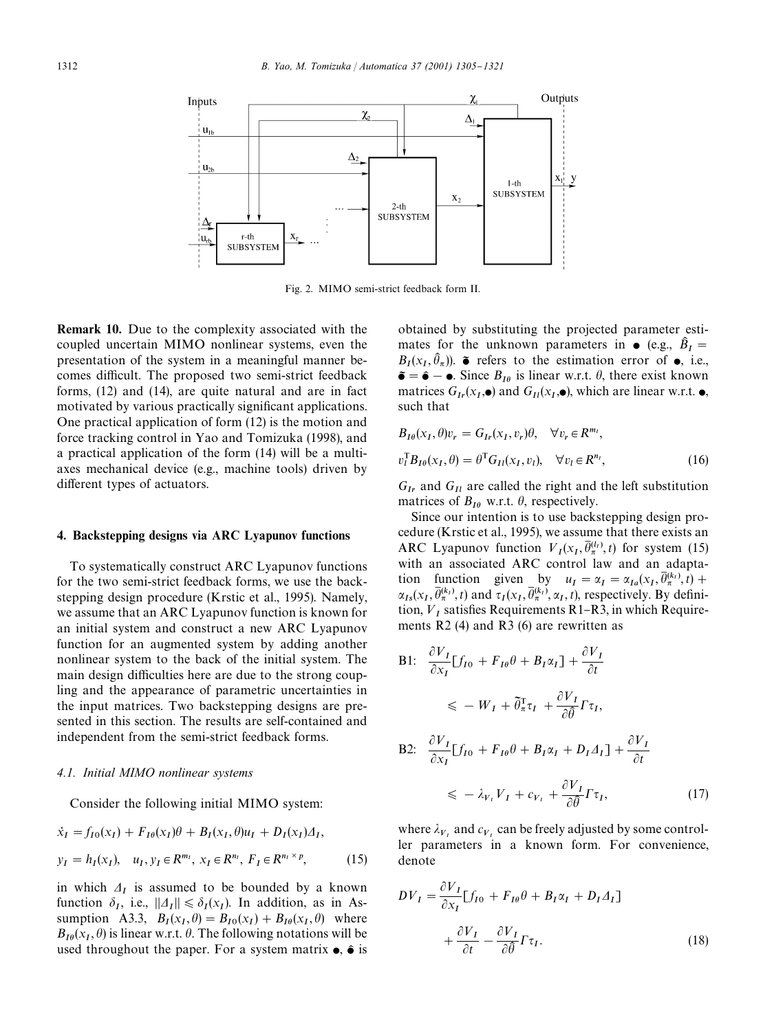

Fig.2. MIMO semi-strict feedback form II.

Remark 10. Due to the complexity associated with the coupled uncertain MIMO nonlinear systems, even the presentation of the system in a meaningful manner becomes difficult. The proposed two semi-strict feedback forms, (12) and (14), are quite natural and are in fact motivated by various practically significant applications. One practical application of form (12) is the motion and force tracking control in Yao and Tomizuka (1998), and a practical application of the form (14) will be a multiaxes mechanical device (e.g., machine tools) driven by different types of actuators.

#### 4. Backstepping designs via ARC Lyapunov functions

To systematically construct ARC Lyapunov functions for the two semi-strict feedback forms, we use the backstepping design procedure (Krstic et al., 1995). Namely, we assume that an ARC Lyapunov function is known for an initial system and construct a new ARC Lyapunov function for an augmented system by adding another nonlinear system to the back of the initial system.The main design difficulties here are due to the strong coupling and the appearance of parametric uncertainties in the input matrices.Two backstepping designs are presented in this section. The results are self-contained and independent from the semi-strict feedback forms.

## *4.1. Initial MIMO nonlinear systems*

Consider the following initial MIMO system:

$$
\dot{x}_I = f_{I0}(x_I) + F_{I0}(x_I)\theta + B_I(x_I, \theta)u_I + D_I(x_I)\Delta_I,
$$
  
\n
$$
y_I = h_I(x_I), \quad u_I, y_I \in R^{m_I}, \ x_I \in R^{n_I}, \ F_I \in R^{n_I \times p},
$$
\n(15)

in which  $\Delta_I$  is assumed to be bounded by a known function  $\delta_I$ , i.e.,  $||\Delta_I|| \leq \delta_I(x_I)$ . In addition, as in Assumption A3.3,  $B_I(x_I, \theta) = B_{I0}(x_I) + B_{I0}(x_I, \theta)$  where  $B_{I\theta}(x_I, \theta)$  is linear w.r.t.  $\theta$ . The following notations will be used throughout the paper. For a system matrix  $\bullet$ ,  $\hat{\bullet}$  is obtained by substituting the projected parameter estimates for the unknown parameters in  $\bullet$  (e.g.,  $\hat{B}_I =$  $B_I(x_I, \hat{\theta}_\pi)$ .  $\tilde{\bullet}$  refers to the estimation error of  $\bullet$ , i.e.,  $\tilde{\bullet} = \hat{\bullet} - \bullet$ . Since  $B_{I\theta}$  is linear w.r.t.  $\theta$ , there exist known matrices  $G_{Ir}(x_I, \bullet)$  and  $G_{I}(x_I, \bullet)$ , which are linear w.r.t.  $\bullet$ , such that

$$
B_{I\theta}(x_I, \theta)v_r = G_{Ir}(x_I, v_r)\theta, \quad \forall v_r \in R^{m_I},
$$
  

$$
v_l^{\mathrm{T}} B_{I\theta}(x_I, \theta) = \theta^{\mathrm{T}} G_{II}(x_I, v_l), \quad \forall v_l \in R^{n_l},
$$
 (16)

 $G_{Ir}$  and  $G_{Il}$  are called the right and the left substitution matrices of  $B_{I\theta}$  w.r.t.  $\theta$ , respectively.

Since our intention is to use backstepping design procedure (Krstic et al., 1995), we assume that there exists an ARC Lyapunov function  $V_I(x_I, \overline{\theta}_{\pi}^{(l_I)}, t)$  for system (15) with an associated ARC control law and an adaptation function given by  $u_I = \alpha_I = \alpha_{Ia}(x_I, \overline{\theta}_\pi^{(k_I)}, t) +$  $\alpha_{Is}(x_I, \overline{\theta}_{\pi}^{(k_I)}, t)$  and  $\tau_I(x_I, \overline{\theta}_{\pi}^{(k_I)}, \alpha_I, t)$ , respectively. By definition,  $V_I$  satisfies Requirements R1-R3, in which Requirements  $R2$  (4) and  $R3$  (6) are rewritten as

B1: 
$$
\frac{\partial V_I}{\partial x_I} [f_{I0} + F_{I\theta} \theta + B_I \alpha_I] + \frac{\partial V_I}{\partial t}
$$
  
\n
$$
\leq -W_I + \tilde{\theta}_\pi^\top \tau_I + \frac{\partial V_I}{\partial \theta} \Gamma \tau_I,
$$
  
\nB2: 
$$
\frac{\partial V_I}{\partial x_I} [f_{I0} + F_{I\theta} \theta + B_I \alpha_I + D_I \Delta_I] + \frac{\partial V_I}{\partial t}
$$
  
\n
$$
\leq -\lambda_{V_I} V_I + c_{V_I} + \frac{\partial V_I}{\partial \theta} \Gamma \tau_I,
$$
 (17)

where  $\lambda_{V_1}$  and  $c_{V_1}$  can be freely adjusted by some controller parameters in a known form.For convenience, denote

$$
DV_I = \frac{\partial V_I}{\partial x_I} [f_{I0} + F_{I\theta}\theta + B_I\alpha_I + D_I\Delta_I]
$$
  
+ 
$$
\frac{\partial V_I}{\partial t} - \frac{\partial V_I}{\partial \theta} \Gamma \tau_I.
$$
 (18)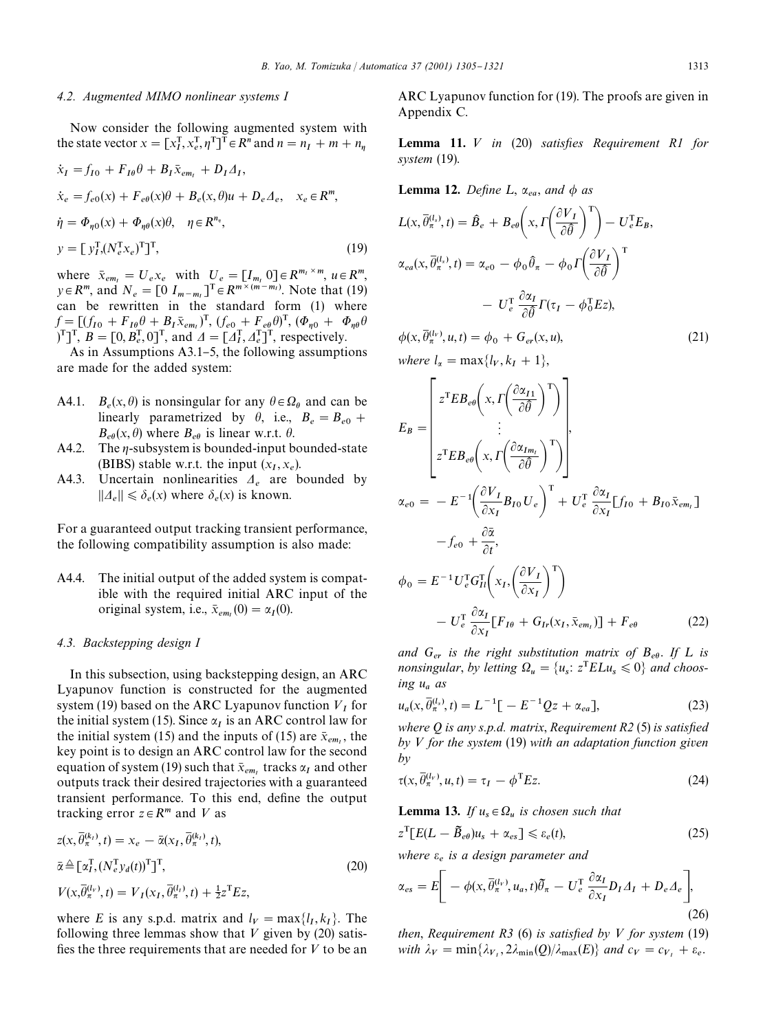#### *4.2. Augmented MIMO nonlinear systems I*

Now consider the following augmented system with the state vector  $x = [x_I^T, x_e^T, \eta^T]^T \in R^n$  and  $n = n_I + m + n_\eta$ 

$$
\begin{aligned}\n\dot{x}_I &= f_{I0} + F_{I\theta}\theta + B_I\bar{x}_{em_I} + D_I\varDelta_I, \\
\dot{x}_e &= f_{e0}(x) + F_{e\theta}(x)\theta + B_e(x,\theta)u + D_e\varDelta_e, \quad x_e \in \mathbb{R}^m, \\
\dot{\eta} &= \Phi_{\eta 0}(x) + \Phi_{\eta \theta}(x)\theta, \quad \eta \in \mathbb{R}^{n_\eta}, \\
y &= \left[ y_I^{\mathrm{T}} \left( N_e^{\mathrm{T}} x_e \right)^{\mathrm{T}} \right]^{\mathrm{T}},\n\end{aligned} \tag{19}
$$

where  $\bar{x}_{em_l} = U_e x_e$  with  $U_e = [I_{m_l} \ 0] \in R^{m_l \times m}$ ,  $u \in R^m$ ,  $y \in R^m$ , and  $N_e = [0 I_{m-m_l}]^T \in R^{m \times (m-m_l)}$ . Note that (19) can be rewritten in the standard form (1) where  $f = [(f_{I0} + F_{I\theta}\theta + B_I\bar{x}_{em}]^T, (f_{e0} + F_{e\theta}\theta)^T, (\Phi_{\eta 0} + \Phi_{\eta \theta}\theta)^T]$  $\left[\int_{-1}^{T} B = [0, B_{e}^{T}, 0]^{T}$ , and  $\Delta = [\Delta_{I}^{T}, \Delta_{e}^{T}]^{T}$ , respectively.

As in Assumptions A3.1–5, the following assumptions are made for the added system:

- A4.1.  $B_e(x, \theta)$  is nonsingular for any  $\theta \in \Omega_\theta$  and can be linearly parametrized by  $\theta$ , i.e.,  $B_e = B_{e0} +$  $B_{e\theta}(x, \theta)$  where  $B_{e\theta}$  is linear w.r.t.  $\theta$ .
- A4.2. The  $\eta$ -subsystem is bounded-input bounded-state (BIBS) stable w.r.t. the input  $(x_I, x_e)$ .
- A4.3. Uncertain nonlinearities  $A_e$  are bounded by  $||A_e|| \leq \delta_e(x)$  where  $\delta_e(x)$  is known.

For a guaranteed output tracking transient performance, the following compatibility assumption is also made:

A4.4. The initial output of the added system is compatible with the required initial ARC input of the original system, i.e.,  $\bar{x}_{em_I}(0) = \alpha_I(0)$ .

#### *4.3. Backstepping design I*

In this subsection, using backstepping design, an ARC Lyapunov function is constructed for the augmented system (19) based on the ARC Lyapunov function  $V_I$  for the initial system (15). Since  $\alpha_I$  is an ARC control law for the initial system (15) and the inputs of (15) are  $\bar{x}_{em}$ , the key point is to design an ARC control law for the second equation of system (19) such that  $\bar{x}_{em}$ , tracks  $\alpha_I$  and other outputs track their desired trajectories with a guaranteed transient performance. To this end, define the output tracking error  $z \in R^m$  and V as

$$
z(x, \overline{\theta}_{\pi}^{(k_l)}, t) = x_e - \overline{\alpha}(x_I, \overline{\theta}_{\pi}^{(k_l)}, t),
$$
  
\n
$$
\overline{\alpha} \triangleq [\alpha_I^{\mathsf{T}}, (N_e^{\mathsf{T}} y_d(t))^{\mathsf{T}}]^{\mathsf{T}},
$$
  
\n
$$
V(x, \overline{\theta}_{\pi}^{(l_V)}, t) = V_I(x_I, \overline{\theta}_{\pi}^{(l_l)}, t) + \frac{1}{2}z^{\mathsf{T}} E z,
$$
\n(20)

where *E* is any s.p.d. matrix and  $l_V = \max\{l_I, k_I\}$ . The following three lemmas show that  $V$  given by (20) satisfies the three requirements that are needed for  $V$  to be an ARC Lyapunov function for (19). The proofs are given in Appendix C.

**Lemma 11.** *V* in (20) satisfies Requirement R1 for *system* (19).

**Lemma 12.** Define L,  $\alpha_{ea}$ , and  $\phi$  as

$$
L(x, \overline{\theta}_{\pi}^{(l_s)}, t) = \hat{B}_e + B_{e\theta} \left( x, \Gamma \left( \frac{\partial V_I}{\partial \overline{\theta}} \right)^{\mathrm{T}} \right) - U_e^{\mathrm{T}} E_B,
$$
  

$$
\alpha_{ea}(x, \overline{\theta}_{\pi}^{(l_s)}, t) = \alpha_{e0} - \phi_0 \hat{\theta}_{\pi} - \phi_0 \Gamma \left( \frac{\partial V_I}{\partial \overline{\theta}} \right)^{\mathrm{T}}
$$
  

$$
- U_e^{\mathrm{T}} \frac{\partial \alpha_I}{\partial \overline{\theta}} \Gamma(\tau_I - \phi_0^{\mathrm{T}} E_z),
$$

 $\phi(x, \bar{\theta}_\pi^{(l_v)}, u, t) = \phi_0 + G_{er}(x, u),$ (21) where  $l_{\alpha} = \max\{l_V, k_I + 1\},\$ 

$$
E_B = \begin{bmatrix} z^{\text{T}} E B_{e\theta} \left( x, \Gamma \left( \frac{\partial \alpha_{I1}}{\partial \hat{\theta}} \right)^{\text{T}} \right) \\ \vdots \\ z^{\text{T}} E B_{e\theta} \left( x, \Gamma \left( \frac{\partial \alpha_{Im_I}}{\partial \hat{\theta}} \right)^{\text{T}} \right) \end{bmatrix},
$$
  
\n
$$
\alpha_{e0} = -E^{-1} \left( \frac{\partial V_I}{\partial x_I} B_{I0} U_e \right)^{\text{T}} + U_e^{\text{T}} \frac{\partial \alpha_I}{\partial x_I} [f_{I0} + B_{I0} \bar{x}_{em_I}]
$$
  
\n
$$
-f_{e0} + \frac{\partial \bar{\alpha}}{\partial t},
$$
  
\n
$$
\phi_0 = E^{-1} U_e^{\text{T}} G_{II}^{\text{T}} \left( x_I, \left( \frac{\partial V_I}{\partial x_I} \right)^{\text{T}} \right)
$$
  
\n
$$
- U_e^{\text{T}} \frac{\partial \alpha_I}{\partial x_I} [F_{I\theta} + G_{Ir}(x_I, \bar{x}_{em_I})] + F_{e\theta} \qquad (22)
$$

and  $G_{er}$  *is the right substitution matrix of*  $B_{eq}$ *. If* L *is nonsingular, by letting*  $\Omega_u = \{u_s : z^T E L u_s \leq 0\}$  *and choosing u as*

$$
u_a(x, \overline{\theta}_\pi^{(l_x)}, t) = L^{-1}[-E^{-1}Qz + \alpha_{ea}], \qquad (23)
$$

*where*  $Q$  *is any s.p.d. matrix, Requirement R2* (5) *is satisfied by* < *for the system* (19) *with an adaptation function given by*

$$
\tau(x, \overline{\theta}_{\pi}^{(l_v)}, u, t) = \tau_I - \phi^{\mathrm{T}} E z.
$$
 (24)

**Lemma 13.** If  $u_s \in \Omega_u$  is chosen such that

$$
z^{\mathrm{T}}[E(L-\tilde{B}_{e\theta})u_s + \alpha_{es}] \leq \varepsilon_e(t),\tag{25}
$$

*where is a design parameter and*

$$
\alpha_{es} = E \bigg[ -\phi(x, \bar{\theta}_{\pi}^{(l_{\nu})}, u_a, t) \tilde{\theta}_{\pi} - U_{\epsilon}^{\mathrm{T}} \frac{\partial \alpha_{I}}{\partial x_{I}} D_{I} \varDelta_{I} + D_{\epsilon} \varDelta_{\epsilon} \bigg], \tag{26}
$$

*then, Requirement R3* (6) *is satisfied by*  $V$  *for system* (19) with  $\lambda_V = \min\{\lambda_{V_1}, 2\lambda_{\min}(Q)/\lambda_{\max}(E)\}\$  and  $c_V = c_{V_1} + \varepsilon_e$ .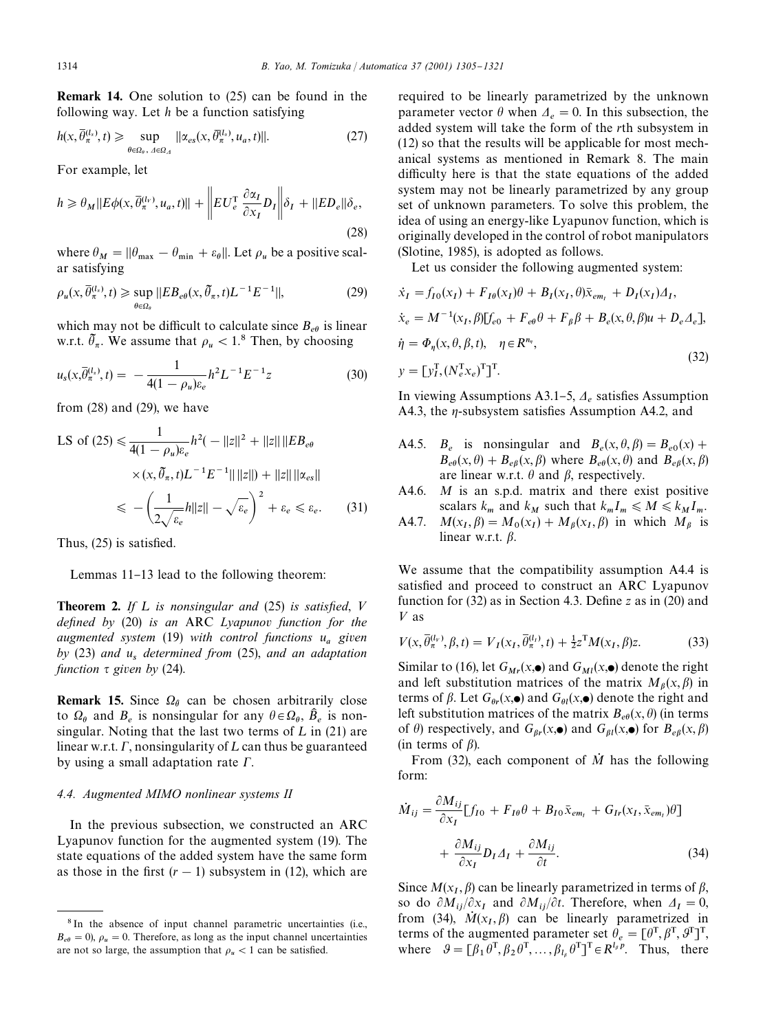Remark 14. One solution to (25) can be found in the following way.Let *h* be a function satisfying

$$
h(x,\overline{\theta}_{\pi}^{(l_x)},t) \geq \sup_{\theta \in \Omega_{\theta},\ A \in \Omega_{\varDelta}} ||\alpha_{es}(x,\overline{\theta}_{\pi}^{(l_x)},u_a,t)||. \tag{27}
$$

For example, let

$$
h \geq \theta_M ||E\phi(x, \overline{\theta}_{\pi}^{(l_v)}, u_a, t)|| + \left\| EU_{\epsilon}^{\mathrm{T}} \frac{\partial \alpha_I}{\partial x_I} D_I \right\| \delta_I + ||ED_{\epsilon}|| \delta_{\epsilon},
$$
\n(28)

where  $\theta_M = ||\theta_{\text{max}} - \theta_{\text{min}} + \varepsilon_\theta||$ . Let  $\rho_u$  be a positive scalar satisfying

$$
\rho_u(x, \overline{\theta}_\pi^{(l_x)}, t) \geq \sup_{\theta \in \Omega_\theta} ||EB_{e\theta}(x, \overline{\theta}_\pi, t)L^{-1}E^{-1}||,
$$
\n(29)

which may not be difficult to calculate since  $B_{e\theta}$  is linear w.r.t.  $\tilde{\theta}_\pi$ . We assume that  $\rho_u < 1.8$  Then, by choosing

$$
u_s(x,\overline{\theta}_\pi^{(l_s)},t) = -\frac{1}{4(1-\rho_u)\varepsilon_e}h^2L^{-1}E^{-1}z
$$
 (30)

from (28) and (29), we have

LS of (25) 
$$
\leq \frac{1}{4(1 - \rho_u)\varepsilon_e} h^2(-||z||^2 + ||z|| ||EB_{e\theta}
$$
  
  $\times (x, \tilde{\theta}_\pi, t)L^{-1}E^{-1}|| ||z|| + ||z|| ||\alpha_{es}||$   
  $\leq -\left(\frac{1}{2\sqrt{\varepsilon_e}}h||z|| - \sqrt{\varepsilon_e}\right)^2 + \varepsilon_e \leq \varepsilon_e.$  (31)

Thus,  $(25)$  is satisfied.

Lemmas 11-13 lead to the following theorem:

**Theorem 2.** If  $L$  is nonsingular and  $(25)$  is satisfied,  $V$ *defined by* (20) *is an ARC Lyapunov function for the augmented system* (19) *with control functions u given by* (23) *and u determined from* (25), *and an adaptation function*  $\tau$  given by (24).

**Remark 15.** Since  $\Omega_{\theta}$  can be chosen arbitrarily close to  $\Omega_{\theta}$  and  $B_e$  is nonsingular for any  $\theta \in \Omega_{\theta}$ ,  $\hat{B}_e$  is nonsingular. Noting that the last two terms of  $L$  in (21) are linear w.r.t.  $\Gamma$ , nonsingularity of  $L$  can thus be guaranteed by using a small adaptation rate  $\Gamma$ .

## *4.4. Augmented MIMO nonlinear systems II*

In the previous subsection, we constructed an ARC Lyapunov function for the augmented system (19). The state equations of the added system have the same form as those in the first  $(r - 1)$  subsystem in (12), which are required to be linearly parametrized by the unknown parameter vector  $\theta$  when  $\Delta_e = 0$ . In this subsection, the added system will take the form of the *r*th subsystem in (12) so that the results will be applicable for most mechanical systems as mentioned in Remark 8.The main difficulty here is that the state equations of the added system may not be linearly parametrized by any group set of unknown parameters.To solve this problem, the idea of using an energy-like Lyapunov function, which is originally developed in the control of robot manipulators (Slotine, 1985), is adopted as follows.

Let us consider the following augmented system:

$$
\begin{aligned}\n\dot{x}_I &= f_{I0}(x_I) + F_{I\theta}(x_I)\theta + B_I(x_I, \theta)\bar{x}_{em_I} + D_I(x_I)\Delta_I, \\
\dot{x}_e &= M^{-1}(x_I, \beta)[f_{e0} + F_{e\theta}\theta + F_{\beta}\beta + B_e(x, \theta, \beta)u + D_e\Delta_e], \\
\dot{\eta} &= \Phi_\eta(x, \theta, \beta, t), \quad \eta \in R^{n_\eta}, \\
y &= [y_I^T, (N_e^T x_e)^T]^T.\n\end{aligned}\n\tag{32}
$$

In viewing Assumptions A3.1–5,  $A_e$  satisfies Assumption A4.3, the  $\eta$ -subsystem satisfies Assumption A4.2, and

- A4.5. *B<sub>e</sub>* is nonsingular and  $B_e(x, \theta, \beta) = B_{e0}(x) +$  $B_{e\theta}(x, \theta) + B_{e\beta}(x, \beta)$  where  $B_{e\theta}(x, \theta)$  and  $B_{e\beta}(x, \beta)$ are linear w.r.t.  $\theta$  and  $\beta$ , respectively.
- A4.6. *M* is an s.p.d. matrix and there exist positive scalars  $k_m$  and  $k_M$  such that  $k_m I_m \leq M \leq k_M I_m$ .
- A4.7. *M*(*x*  $(M_{\beta}(x_I) + M_{\beta}(x_I, \beta))$  in which  $M_{\beta}$  is linear w.r.t.  $\beta$ .

We assume that the compatibility assumption A4.4 is satisfied and proceed to construct an ARC Lyapunov function for  $(32)$  as in Section 4.3. Define *z* as in  $(20)$  and  $V$  as

$$
V(x, \bar{\theta}_{\pi}^{(l_{\nu})}, \beta, t) = V_{I}(x_{I}, \bar{\theta}_{\pi}^{(l_{I})}, t) + \frac{1}{2}z^{T}M(x_{I}, \beta)z.
$$
 (33)

Similar to (16), let  $G_{Mr}(x, \bullet)$  and  $G_{Ml}(x, \bullet)$  denote the right and left substitution matrices of the matrix  $M_\beta(x,\beta)$  in terms of  $\beta$ . Let  $G_{\theta r}(x, \bullet)$  and  $G_{\theta l}(x, \bullet)$  denote the right and left substitution matrices of the matrix  $B_{e\theta}(x, \theta)$  (in terms of  $\theta$ ) respectively, and  $G_{\beta r}(x, \bullet)$  and  $G_{\beta l}(x, \bullet)$  for  $B_{e\beta}(x, \beta)$ (in terms of  $\beta$ ).

From  $(32)$ , each component of  $\dot{M}$  has the following form:

$$
\dot{M}_{ij} = \frac{\partial M_{ij}}{\partial x_I} [f_{I0} + F_{I\theta}\theta + B_{I0}\bar{x}_{em_I} + G_{Ir}(x_I, \bar{x}_{em_I})\theta] \n+ \frac{\partial M_{ij}}{\partial x_I} D_I \Delta_I + \frac{\partial M_{ij}}{\partial t}.
$$
\n(34)

Since  $M(x_I, \beta)$  can be linearly parametrized in terms of  $\beta$ , so do  $\partial M_{ij}/\partial x_I$  and  $\partial M_{ij}/\partial t$ . Therefore, when  $\Delta_I = 0$ , from (34),  $\dot{M}(x_I, \beta)$  can be linearly parametrized in terms of the augmented parameter set  $\theta_e = [\theta^T, \beta^T, \theta^T]^T$ , where  $\theta = [\beta_1 \theta^T, \beta_2 \theta^T, \dots, \beta_{l_\beta} \theta^T]^T \in R^{l_\beta p}$ . Thus, there

<sup>&</sup>lt;sup>8</sup> In the absence of input channel parametric uncertainties (i.e.,  $B_{e\theta} = 0$ ,  $\rho_u = 0$ . Therefore, as long as the input channel uncertainties are not so large, the assumption that  $\rho_u < 1$  can be satisfied.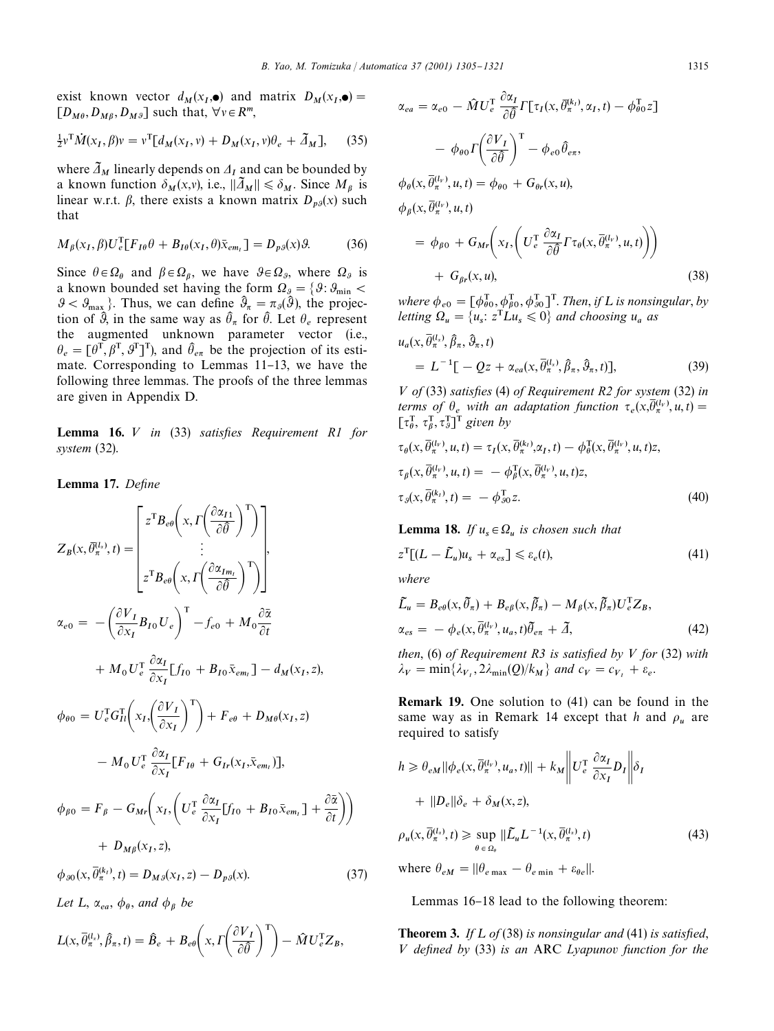exist known vector  $d_M(x_I, \bullet)$  and matrix  $D_M(x_I, \bullet) =$  $[D_{M\theta}, D_{M\beta}, D_{M\beta}]$  such that,  $\forall v \in R^m$ ,

$$
\frac{1}{2}v^{\mathrm{T}}\dot{M}(x_I,\beta)v = v^{\mathrm{T}}[d_M(x_I,v) + D_M(x_I,v)\theta_e + \tilde{\Delta}_M],\tag{35}
$$

where  $\bar{\Delta}_M$  linearly depends on  $\Delta_I$  and can be bounded by a known function  $\delta_M(x, y)$ , i.e.,  $\|\tilde{\Lambda}_M\| \le \delta_M$ . Since  $M_\beta$  is linear w.r.t.  $\beta$ , there exists a known matrix  $D_{p\beta}(x)$  such that

$$
M_{\beta}(x_I, \beta)U_e^{\text{T}}[F_{I\theta}\theta + B_{I\theta}(x_I, \theta)\bar{x}_{em_I}] = D_{p\theta}(x)\theta. \tag{36}
$$

Since  $\theta \in \Omega_{\theta}$  and  $\beta \in \Omega_{\beta}$ , we have  $\theta \in \Omega_{\theta}$ , where  $\Omega_{\theta}$  is a known bounded set having the form  $\Omega_{g} = \{ \theta : \theta_{\min} <$  $\mathcal{G} < \mathcal{G}_{\text{max}}$ . Thus, we can define  $\hat{\mathcal{G}}_{\pi} = \pi_{\mathcal{G}}(\hat{\mathcal{G}})$ , the projection of  $\hat{\theta}$ , in the same way as  $\hat{\theta}_{\pi}$  for  $\hat{\theta}$ . Let  $\theta_e$  represent the augmented unknown parameter vector (i.e.,  $\theta_e = [\theta^T, \beta^T, \theta^T]^T$ , and  $\hat{\theta}_{e\pi}$  be the projection of its estimate. Corresponding to Lemmas 11-13, we have the following three lemmas. The proofs of the three lemmas are given in Appendix D.

Lemma 16. *V* in (33) satisfies Requirement R1 for *system* (32).

## Lemma 17. Define

$$
Z_{B}(x, \bar{\theta}_{\pi}^{(l_{x})}, t) = \begin{bmatrix} z^{T} B_{e\theta} \left( x, \Gamma \left( \frac{\partial \alpha_{I1}}{\partial \theta} \right)^{T} \right) \\ \vdots \\ z^{T} B_{e\theta} \left( x, \Gamma \left( \frac{\partial \alpha_{Im_{I}}}{\partial \theta} \right)^{T} \right) \end{bmatrix},
$$
  
\n
$$
\alpha_{e0} = - \left( \frac{\partial V_{I}}{\partial x_{I}} B_{I0} U_{e} \right)^{T} - f_{e0} + M_{0} \frac{\partial \bar{\alpha}}{\partial t} + M_{0} U_{e} \frac{\partial \bar{\alpha}_{I}}{\partial x_{I}} [f_{I0} + B_{I0} \bar{x}_{em_{I}}] - d_{M}(x_{I}, z),
$$
  
\n
$$
\phi_{\theta 0} = U_{e}^{T} G_{I1}^{T} \left( x_{I}, \left( \frac{\partial V_{I}}{\partial x_{I}} \right)^{T} \right) + F_{e\theta} + D_{M\theta}(x_{I}, z) - M_{0} U_{e}^{T} \frac{\partial \alpha_{I}}{\partial x_{I}} [F_{I\theta} + G_{Ir}(x_{I}, \bar{x}_{em_{I}})],
$$
  
\n
$$
\phi_{\beta 0} = F_{\beta} - G_{Mr} \left( x_{I}, \left( U_{e}^{T} \frac{\partial \alpha_{I}}{\partial x_{I}} [f_{I0} + B_{I0} \bar{x}_{em_{I}}] + \frac{\partial \bar{\alpha}}{\partial t} \right) \right)
$$
  
\n
$$
+ D_{M\beta}(x_{I}, z),
$$
  
\n
$$
\phi_{\beta 0}(x, \bar{\theta}_{\pi}^{(k)}, t) = D_{M\beta}(x_{I}, z) - D_{p\beta}(x).
$$
  
\nLet L,  $\alpha_{ea}, \phi_{\theta}, \text{ and } \phi_{\beta} \text{ be}$   
\n(3.1)

$$
L(x, \overline{\theta}_{\pi}^{(l_x)}, \hat{\beta}_{\pi}, t) = \hat{B}_e + B_{e\theta}\left(x, \Gamma\left(\frac{\partial V_I}{\partial \hat{\theta}}\right)^{\mathrm{T}}\right) - \hat{M}U_e^{\mathrm{T}}Z_B,
$$

$$
\alpha_{ea} = \alpha_{e0} - \hat{M}U_e^{\mathrm{T}} \frac{\partial \alpha_I}{\partial \hat{\theta}} \Gamma[\tau_I(x, \bar{\theta}_{\pi}^{(k_i)}, \alpha_I, t) - \phi_{\theta 0}^{\mathrm{T}} z]
$$

$$
- \phi_{\theta 0} \Gamma\left(\frac{\partial V_I}{\partial \hat{\theta}}\right)^{\mathrm{T}} - \phi_{e0} \hat{\theta}_{e\pi},
$$

$$
\phi_{\theta}(x, \bar{\theta}_{\pi}^{(l_v)}, u, t) = \phi_{\theta 0} + G_{\theta r}(x, u),
$$

$$
\phi_{\beta}(x, \bar{\theta}_{\pi}^{(l_v)}, u, t)
$$

$$
= \phi_{\beta 0} + G_{Mr} \bigg( x_I, \bigg( U_e^{\mathrm{T}} \frac{\partial \alpha_I}{\partial \hat{\theta}} \Gamma \tau_{\theta}(x, \bar{\theta}_{\pi}^{(l_v)}, u, t) \bigg) \bigg)
$$

+ 
$$
G_{\beta r}(x, u)
$$
, (38)  
where  $\phi_{e0} = [\phi_{\theta 0}^T, \phi_{\beta 0}^T, \phi_{\theta 0}^T]$ . Then, if L is nonsingular, by  
letting  $\Omega_u = \{u_s: z^T L u_s \leq 0\}$  and choosing  $u_a$  as

$$
u_a(x, \overline{\theta}_\pi^{(l_x)}, \hat{\beta}_\pi, \hat{\theta}_\pi, t)
$$
  
=  $L^{-1}[-Qz + \alpha_{ea}(x, \overline{\theta}_\pi^{(l_x)}, \hat{\beta}_\pi, \hat{\theta}_\pi, t)],$  (39)

*V* of (33) satisfies (4) of Requirement R2 for system (32) in *terms of*  $\theta_e$  with an adaptation function  $\tau_e(x, \overline{\theta}_\pi^{(l_v)}, u, t) =$  $\begin{bmatrix} \tau_{\theta}^{\text{T}}, \tau_{\beta}^{\text{T}}, \tau_{\beta}^{\text{T}} \end{bmatrix}^{\text{T}}$  given by

$$
\tau_{\theta}(x, \overline{\theta}_{\pi}^{(l_v)}, u, t) = \tau_I(x, \overline{\theta}_{\pi}^{(k_l)}, \alpha_I, t) - \phi_{\theta}^{T}(x, \overline{\theta}_{\pi}^{(l_v)}, u, t)z,
$$
  
\n
$$
\tau_{\beta}(x, \overline{\theta}_{\pi}^{(l_v)}, u, t) = -\phi_{\beta}^{T}(x, \overline{\theta}_{\pi}^{(l_v)}, u, t)z,
$$
  
\n
$$
\tau_{\beta}(x, \overline{\theta}_{\pi}^{(k_l)}, t) = -\phi_{\beta 0}^{T}z.
$$
\n(40)

**Lemma 18.** If  $u_s \in \Omega_u$  is chosen such that

$$
z^{T}[(L - \tilde{L}_{u})u_{s} + \alpha_{es}] \leq \varepsilon_{e}(t),
$$
\n(41)

*where*

 $(37)$ 

$$
\tilde{L}_u = B_{e\theta}(x, \tilde{\theta}_\pi) + B_{e\beta}(x, \tilde{\beta}_\pi) - M_\beta(x, \tilde{\beta}_\pi) U_e^{\mathrm{T}} Z_B,
$$
\n
$$
\alpha_{es} = -\phi_e(x, \bar{\theta}_\pi^{(l_r)}, u_a, t) \tilde{\theta}_{e\pi} + \tilde{\Delta},
$$
\n(42)

*then*, (6) *of Requirement R3 is satisfied by*  $V$  *for* (32) *with*  $\lambda_V = \min\{\lambda_{V_1}, 2\lambda_{\min}(Q)/k_M\}$  and  $c_V = c_{V_1} + \varepsilon_e$ .

Remark 19. One solution to (41) can be found in the same way as in Remark 14 except that  $h$  and  $\rho_u$  are required to satisfy

$$
h \geq \theta_{eM} ||\phi_e(x, \overline{\theta}_{\pi}^{(l_v)}, u_a, t)|| + k_M ||U_e^{\mathrm{T}} \frac{\partial \alpha_I}{\partial x_I} D_I || \delta_I
$$
  
+  $||D_e||\delta_e + \delta_M(x, z),$   

$$
\rho_u(x, \overline{\theta}_{\pi}^{(l_x)}, t) \geq \sup_{\theta \in \Omega_\theta} ||\widetilde{L}_u L^{-1}(x, \overline{\theta}_{\pi}^{(l_x)}, t) \qquad (43)
$$

where  $\theta_{eM} = ||\theta_{e \max} - \theta_{e \min} + \varepsilon_{\theta e}||.$ 

Lemmas 16-18 lead to the following theorem:

Theorem 3. *If L* of (38) *is nonsingular and* (41) *is satisfied*, *V* defined by (33) is an ARC *Lyapunov* function for the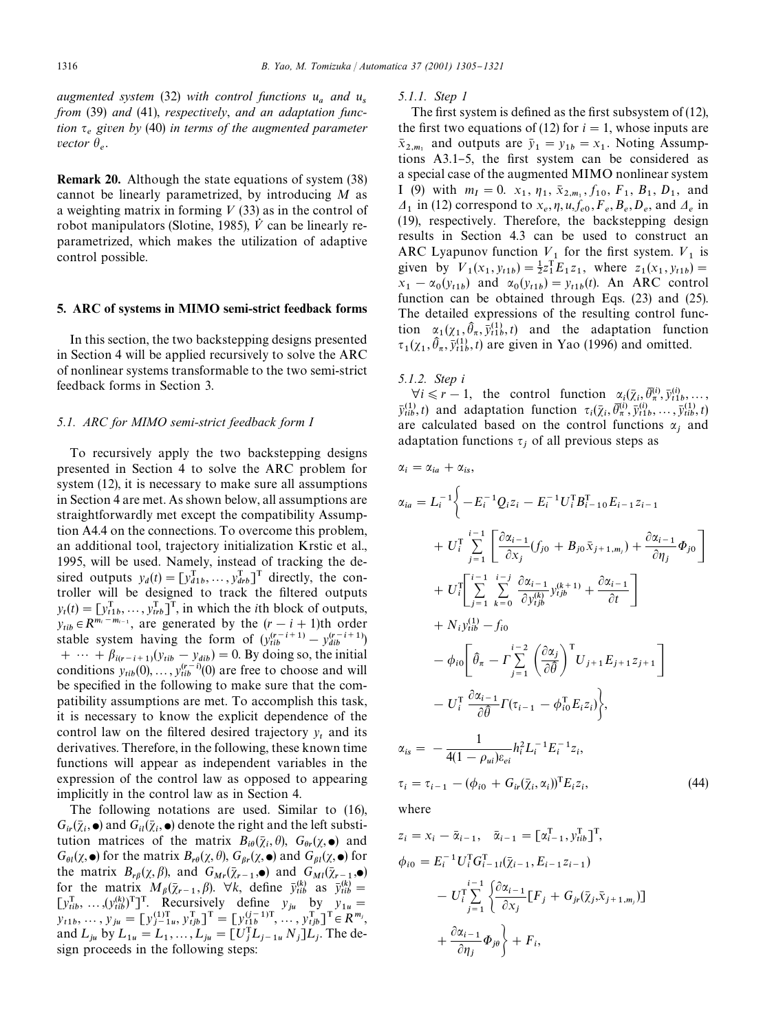*augmented system* (32) *with control functions u and u from* (39) *and* (41), *respectively*, *and an adaptation function given by* (40) *in terms of the augmented parameter vector*  $\theta_e$ .

Remark 20. Although the state equations of system (38) cannot be linearly parametrized, by introducing *M* as a weighting matrix in forming  $V(33)$  as in the control of robot manipulators (Slotine, 1985),  $\dot{V}$  can be linearly reparametrized, which makes the utilization of adaptive control possible.

#### 5. ARC of systems in MIMO semi-strict feedback forms

In this section, the two backstepping designs presented in Section 4 will be applied recursively to solve the ARC of nonlinear systems transformable to the two semi-strict feedback forms in Section 3.

#### *5.1. ARC for MIMO semi-strict feedback form I*

To recursively apply the two backstepping designs presented in Section 4 to solve the ARC problem for system (12), it is necessary to make sure all assumptions in Section 4 are met.As shown below, all assumptions are straightforwardly met except the compatibility Assumption A4.4 on the connections. To overcome this problem, an additional tool, trajectory initialization Krstic et al., 1995, will be used. Namely, instead of tracking the desired outputs  $y_d(t) = [y_{d1b}^T, \dots, y_{drb}^T]^T$  directly, the controller will be designed to track the filtered outputs  $y_t(t) = [y_{11}^T, \dots, y_{trb}^T]^T$ , in which the *i*<sup>th</sup> block of outputs,  $y_{tib} \in R^{m_i - m_{i-1}}$ , are generated by the  $(r - i + 1)$ th order stable system having the form of  $(y_{tib}^{(r-i+1)} - y_{dib}^{(r-i+1)})$ +  $\cdots$  +  $\beta_{i(r-i+1)}(y_{tib} - y_{dib}) = 0$ . By doing so, the initial conditions  $y_{tib}(0), \ldots, y_{tib}^{(r-i)}(0)$  are free to choose and will be specified in the following to make sure that the compatibility assumptions are met. To accomplish this task, it is necessary to know the explicit dependence of the control law on the filtered desired trajectory  $y_t$  and its derivatives.Therefore, in the following, these known time functions will appear as independent variables in the expression of the control law as opposed to appearing implicitly in the control law as in Section 4.

The following notations are used. Similar to (16),  $G_{ir}(\bar{\chi}_i, \bullet)$  and  $G_{il}(\bar{\chi}_i, \bullet)$  denote the right and the left substitution matrices of the matrix  $B_{i\theta}(\bar{\chi}_i, \theta)$ ,  $G_{\theta r}(\chi, \bullet)$  and  $G_{\theta l}(\chi, \bullet)$  for the matrix  $B_{r\theta}(\chi, \theta), G_{\beta r}(\chi, \bullet)$  and  $G_{\beta l}(\chi, \bullet)$  for the matrix  $B_{r\beta}(\chi, \beta)$ , and  $G_{Mr}(\bar{\chi}_{r-1}, \bullet)$  and  $G_{Ml}(\bar{\chi}_{r-1}, \bullet)$ for the matrix  $M_\beta(\bar{\chi}_{r-1}, \beta)$ .  $\forall k$ , define  $\bar{y}_{tib}^{(k)}$  as  $\bar{y}_{tib}^{(k)} =$ for the matrix  $M_{\beta}(\chi_{r-1}, \beta)$ .  $\nabla k$ , define  $y_{ii\beta}^{x_i}$  as  $y_{ii\beta}^{x_i} =$ <br>  $[y_{iib}^{\text{T}}, \dots, (y_{ib}^{(k)})^{\text{T}}]^{\text{T}}$ . Recursively define  $y_{ju}$  by  $y_{1u} =$  $y_{t1b}, \ldots, y_{ju} = [y_{j-1u}^{(1)} , y_{tjb}^{T}]^{T} = [y_{t1}^{(j-1)T}, \ldots, y_{tjb}^{T}]^{T} \in R^{m_j},$ and  $L_{ju}$  by  $L_{1u} = L_1, ..., L_{ju} = [U_j^T L_{j-1u} N_j] L_j$ . The design proceeds in the following steps:

## *5.1.1. Step 1*

The first system is defined as the first subsystem of  $(12)$ , the first two equations of (12) for  $i = 1$ , whose inputs are  $\bar{x}_{2,m_1}$  and outputs are  $\bar{y}_1 = y_{1b} = x_1$ . Noting Assumptions  $A3.1-5$ , the first system can be considered as a special case of the augmented MIMO nonlinear system I (9) with  $m_I = 0$ .  $x_1, \eta_1, \bar{x}_{2,m_i}, f_{10}, F_1, B_1, D_1$ , and  $A_1$  in (12) correspond to  $x_e$ ,  $\eta$ ,  $u$ ,  $f_{e0}$ ,  $F_e$ ,  $B_e$ ,  $D_e$ , and  $A_e$  in (19), respectively.Therefore, the backstepping design results in Section 4.3 can be used to construct an ARC Lyapunov function  $V_1$  for the first system.  $V_1$  is given by  $V_1(x_1, y_{t1b}) = \frac{1}{2}z_1^{\mathrm{T}}E_1z_1$ , where  $z_1(x_1, y_{t1b}) =$  $x_1 - \alpha_0(y_{t1b})$  and  $\alpha_0(y_{t1b}) = y_{t1b}(t)$ . An ARC control function can be obtained through Eqs.(23) and (25). The detailed expressions of the resulting control function  $\alpha_1(\chi_1, \hat{\theta}_\pi, \bar{y}_{t1b}^{(1)}, t)$  and the adaptation function  $\tau_1(\chi_1, \hat{\theta}_\pi, \bar{y}_{t1b}^{(1)}, t)$  are given in Yao (1996) and omitted.

*5.1.2. Step i*

 $\forall i \leq r-1$ , the control function  $\alpha_i(\bar{\chi}_i, \bar{\theta}_r^{(i)}, \bar{y}_{i1}^{(i)}, \dots, \bar{y}_{i1}^{(i)}, \dots)$  $\bar{y}_{tib}^{(1)}$ , *t*) and adaptation function  $\tau_i(\bar{\chi}_i, \bar{\theta}_\pi^{(i)}, \bar{y}_{t1b}^{(i)}, \dots, \bar{y}_{tib}^{(1)}, t)$ are calculated based on the control functions  $\alpha_j$  and adaptation functions  $\tau_j$  of all previous steps as

$$
\alpha_{i} = \alpha_{ia} + \alpha_{is},
$$
\n
$$
\alpha_{ia} = L_{i}^{-1} \Biggl\{ -E_{i}^{-1} Q_{i} z_{i} - E_{i}^{-1} U_{i}^{T} B_{i-10}^{T} E_{i-1} z_{i-1} \n+ U_{i}^{T} \sum_{j=1}^{i-1} \Biggl[ \frac{\partial \alpha_{i-1}}{\partial x_{j}} (f_{j0} + B_{j0} \bar{x}_{j+1,m_{j}}) + \frac{\partial \alpha_{i-1}}{\partial \eta_{j}} \Phi_{j0} \Biggr] \n+ U_{i}^{T} \Biggl[ \sum_{j=1}^{i-1} \sum_{k=0}^{i-j} \frac{\partial \alpha_{i-1}}{\partial y_{ib}^{(k)}} y_{ib}^{(k+1)} + \frac{\partial \alpha_{i-1}}{\partial t} \Biggr] \n+ N_{i} y_{itb}^{(1)} - f_{i0} \n- \phi_{i0} \Biggl[ \hat{\theta}_{\pi} - \Gamma \sum_{j=1}^{i-2} \Biggl( \frac{\partial \alpha_{j}}{\partial \hat{\theta}} \Biggr)^{T} U_{j+1} E_{j+1} z_{j+1} \Biggr] \n- U_{i}^{T} \frac{\partial \alpha_{i-1}}{\partial \hat{\theta}} \Gamma(\tau_{i-1} - \phi_{i0}^{T} E_{i} z_{i}) \Biggr\},
$$
\n
$$
\alpha_{is} = -\frac{1}{4(1 - \rho_{ui})\varepsilon_{ei}} h_{i}^{2} L_{i}^{-1} E_{i}^{-1} z_{i},
$$
\n
$$
\tau_{i} = \tau_{i-1} - (\phi_{i0} + G_{ir}(\bar{\chi}_{i}, \alpha_{i}))^{T} E_{i} z_{i},
$$
\n(44)

where

$$
z_i = x_i - \overline{\alpha}_{i-1}, \quad \overline{\alpha}_{i-1} = [\alpha_{i-1}^{\text{T}}, y_{itb}^{\text{T}}]^{\text{T}},
$$
  
\n
$$
\phi_{i0} = E_i^{-1} U_i^{\text{T}} G_{i-1}^{\text{T}} (\overline{\chi}_{i-1}, E_{i-1} z_{i-1})
$$
  
\n
$$
- U_i^{\text{T}} \sum_{j=1}^{i-1} \left\{ \frac{\partial \alpha_{i-1}}{\partial x_j} [F_j + G_{jr} (\overline{\chi}_j, \overline{x}_{j+1,m_j})] + \frac{\partial \alpha_{i-1}}{\partial \eta_j} \Phi_{j\theta} \right\} + F_i,
$$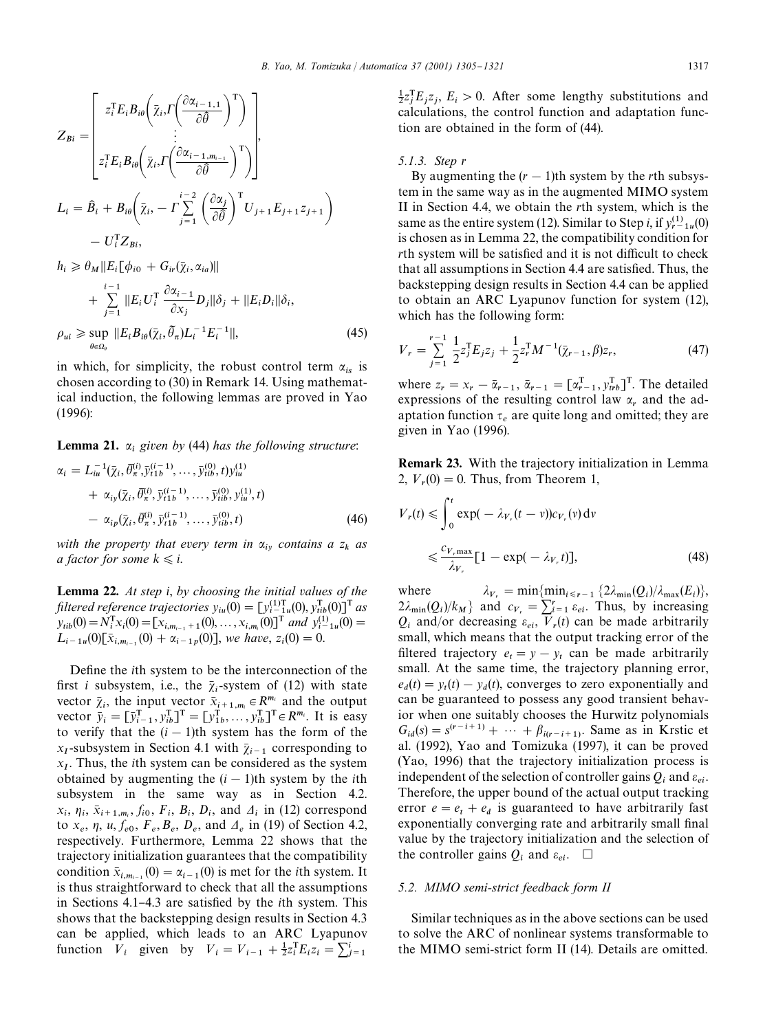$$
Z_{Bi} = \begin{bmatrix} z_i^T E_i B_{i\theta} \Big( \bar{\chi}_i \cdot \Gamma \Big( \frac{\partial \alpha_{i-1,1}}{\partial \hat{\theta}} \Big)^T \Big) \\ \vdots \\ z_i^T E_i B_{i\theta} \Big( \bar{\chi}_i \cdot \Gamma \Big( \frac{\partial \alpha_{i-1,m_{i-1}}}{\partial \hat{\theta}} \Big)^T \Big) \end{bmatrix},
$$
  
\n
$$
L_i = \hat{B}_i + B_{i\theta} \Big( \bar{\chi}_i \cdot \Gamma \Big( \frac{\partial \alpha_{i-1,m_{i-1}}}{\partial \hat{\theta}} \Big)^T U_{j+1} E_{j+1} z_{j+1} \Big) - U_i^T Z_{Bi},
$$
  
\n
$$
h_i \geq \theta_M ||E_i[\phi_{i0} + G_{ir}(\bar{\chi}_i, \alpha_{ia})||
$$

$$
+\sum_{j=1}^{i-1}||E_iU_i^T\frac{\partial \alpha_{i-1}}{\partial x_j}D_j||\delta_j + ||E_iD_i||\delta_i,\n\rho_{ui} \ge \sup_{\theta \in \Omega_\theta}||E_iB_{i\theta}(\bar{\chi}_i, \tilde{\theta}_\pi)L_i^{-1}E_i^{-1}||,
$$
\n(45)

in which, for simplicity, the robust control term  $\alpha_{is}$  is chosen according to (30) in Remark 14.Using mathematical induction, the following lemmas are proved in Yao (1996):

**Lemma 21.**  $\alpha_i$  given by (44) has the following structure:

$$
\alpha_{i} = L_{iu}^{-1}(\bar{\chi}_{i}, \bar{\theta}_{\pi}^{(i)}, \bar{y}_{t1b}^{(i-1)}, \dots, \bar{y}_{tib}^{(0)}, t) y_{iu}^{(1)} \n+ \alpha_{iy}(\bar{\chi}_{i}, \bar{\theta}_{\pi}^{(i)}, \bar{y}_{t1b}^{(i-1)}, \dots, \bar{y}_{tib}^{(0)}, y_{iu}^{(1)}, t) \n- \alpha_{ip}(\bar{\chi}_{i}, \bar{\theta}_{\pi}^{(i)}, \bar{y}_{t1b}^{(i-1)}, \dots, \bar{y}_{tib}^{(0)}, t)
$$
\n(46)

with the property that every term in  $\alpha_{iy}$  contains a  $z_k$  as *a factor for some*  $k \leq i$ .

Lemma 22. *At step i*, *by choosing the initial values of the filtered reference trajectories*  $y_{iu}(0) = [y_{i-1}^{(1)}(0), y_{tib}^{T}(0)]^{\text{T}}$  as  $y_{itb}(0) = \dot{N}_i^T x_i(0) = [x_{i,m_{i-1}+1}(0),...,x_{i,m_i}(0)]^T$  and  $y_{i-1}^{(1)}(0) =$  $L_{i-1}u(0)[\bar{x}_{i,m_{i-1}}(0) + \alpha_{i-1}P(0)],$  we have,  $z_i(0) = 0.$ 

Define the *i*th system to be the interconnection of the first *i* subsystem, i.e., the  $\bar{\chi}_i$ -system of (12) with state vector  $\bar{\chi}_i$ , the input vector  $\bar{\chi}_{i+1,m_i} \in R^{m_i}$  and the output vector  $\overline{y}_i = [\overline{y}_i^T, \overline{y}_i^T, \overline{y}_i^T]$ <sup>T</sup> =  $[\overline{y}_1^T, \dots, \overline{y}_i^T, \overline{y}_i^T, \overline{y}_i^T, \overline{y}_i^T]$ <sup>T</sup> =  $R^{m_i}$ . It is easy to verify that the  $(i - 1)$ th system has the form of the  $x_I$ -subsystem in Section 4.1 with  $\bar{\chi}_{i-1}$  corresponding to *x* .Thus, the *i*th system can be considered as the system obtained by augmenting the  $(i - 1)$ th system by the *i*th subsystem in the same way as in Section 4.2.  $x_i$ ,  $\eta_i$ ,  $\bar{x}_{i+1,m_i}$ ,  $f_{i0}$ ,  $F_i$ ,  $B_i$ ,  $D_i$ , and  $A_i$  in (12) correspond to  $x_e$ ,  $\eta$ ,  $u$ ,  $f_{e0}$ ,  $F_e$ ,  $B_e$ ,  $D_e$ , and  $\Delta_e$  in (19) of Section 4.2, respectively. Furthermore, Lemma 22 shows that the trajectory initialization guarantees that the compatibility condition  $\bar{x}_{i,m_{i-1}}(0) = \alpha_{i-1}(0)$  is met for the *i*th system. It is thus straightforward to check that all the assumptions in Sections 4.1–4.3 are satisfied by the *i*th system. This shows that the backstepping design results in Section 4.3 can be applied, which leads to an ARC Lyapunov function  $V_i$  given by  $V_i = V_{i-1} + \frac{1}{2}z_i^T E_i z_i = \sum_{j=1}^i z_j$ 

 $\frac{1}{2}z_i^T E_j z_j$ ,  $E_i > 0$ . After some lengthy substitutions and calculations, the control function and adaptation function are obtained in the form of (44).

#### *5.1.3. Step r*

By augmenting the  $(r - 1)$ th system by the *r*th subsystem in the same way as in the augmented MIMO system II in Section 4.4, we obtain the *r*th system, which is the same as the entire system (12). Similar to Step *i*, if  $y_{r-1u}^{(1)}(0)$ is chosen as in Lemma 22, the compatibility condition for *rth* system will be satisfied and it is not difficult to check that all assumptions in Section 4.4 are satisfied. Thus, the backstepping design results in Section 4.4 can be applied to obtain an ARC Lyapunov function for system (12), which has the following form:

$$
V_r = \sum_{j=1}^{r-1} \frac{1}{2} z_j^{\mathrm{T}} E_j z_j + \frac{1}{2} z_r^{\mathrm{T}} M^{-1} (\bar{\chi}_{r-1}, \beta) z_r, \tag{47}
$$

where  $z_r = x_r - \bar{\alpha}_{r-1}, \bar{\alpha}_{r-1} = [\alpha_{r-1}^T, y_{trb}^T]^T$ . The detailed expressions of the resulting control law  $\alpha_r$  and the adaptation function  $\tau_e$  are quite long and omitted; they are given in Yao (1996).

Remark 23. With the trajectory initialization in Lemma 2,  $V_r(0) = 0$ . Thus, from Theorem 1,

$$
V_r(t) \leq \int_0^t \exp(-\lambda_{V_r}(t - v))c_{V_r}(v) dv
$$
  

$$
\leq \frac{c_{V,\max}}{\lambda_{V_r}} [1 - \exp(-\lambda_{V_r}t)],
$$
 (48)

where  $V_i = \min\{\min_{i \leq r-1} \{2\lambda_{\min}(Q_i)/\lambda_{\max}(E_i)\},\}$  $2\lambda_{\min}(Q_i)/k_M$ } and  $c_{V_r} = \sum_{i=1}^{r} \varepsilon_{ei}$ . Thus, by increasing  $Q_i$  and/or decreasing  $\varepsilon_{ei}$ ,  $\overline{V}_r(t)$  can be made arbitrarily small, which means that the output tracking error of the filtered trajectory  $e_t = y - y_t$  can be made arbitrarily small. At the same time, the trajectory planning error,  $e_d(t) = y_t(t) - y_d(t)$ , converges to zero exponentially and can be guaranteed to possess any good transient behavior when one suitably chooses the Hurwitz polynomials  $G_{id}(s) = s^{(r-i+1)} + \cdots + \beta_{i(r-i+1)}$ . Same as in Krstic et al.(1992), Yao and Tomizuka (1997), it can be proved (Yao, 1996) that the trajectory initialization process is independent of the selection of controller gains  $Q_i$  and  $\varepsilon_{ei}$ . Therefore, the upper bound of the actual output tracking error  $e = e_t + e_d$  is guaranteed to have arbitrarily fast exponentially converging rate and arbitrarily small final value by the trajectory initialization and the selection of the controller gains  $Q_i$  and  $\varepsilon_{ei}$ .  $\Box$ 

#### *5.2. MIMO semi-strict feedback form II*

Similar techniques as in the above sections can be used to solve the ARC of nonlinear systems transformable to the MIMO semi-strict form II (14). Details are omitted.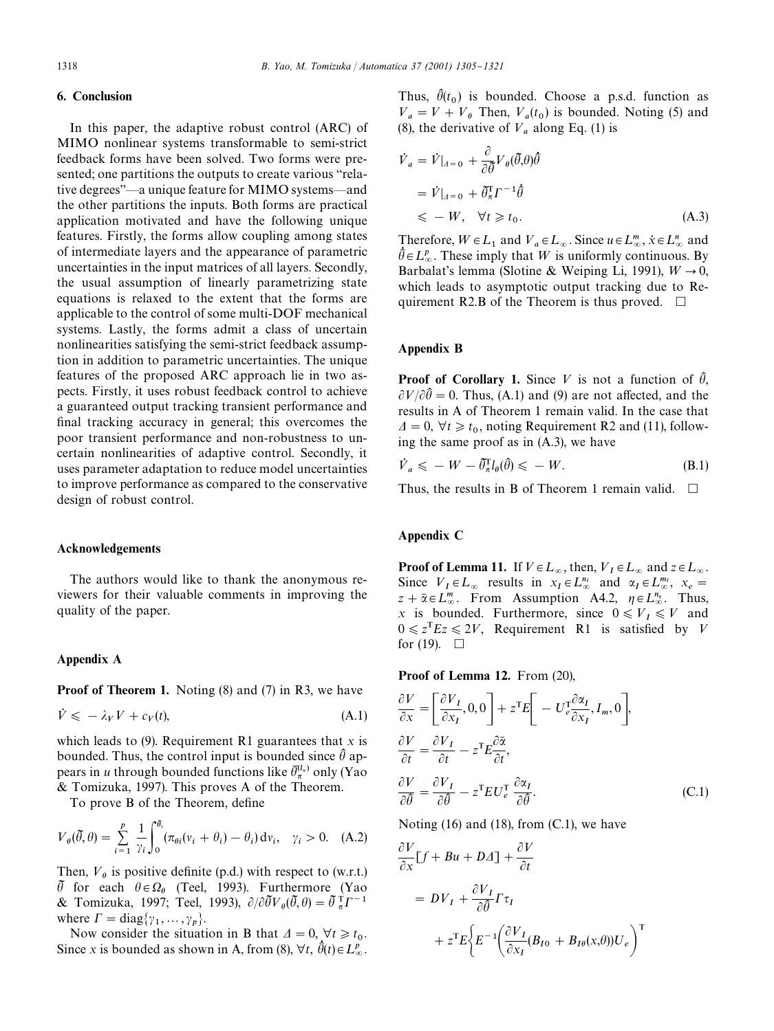## 6. Conclusion

In this paper, the adaptive robust control (ARC) of MIMO nonlinear systems transformable to semi-strict feedback forms have been solved.Two forms were presented; one partitions the outputs to create various "relative degrees"-a unique feature for MIMO systems-and the other partitions the inputs.Both forms are practical application motivated and have the following unique features.Firstly, the forms allow coupling among states of intermediate layers and the appearance of parametric uncertainties in the input matrices of all layers. Secondly, the usual assumption of linearly parametrizing state equations is relaxed to the extent that the forms are applicable to the control of some multi-DOF mechanical systems.Lastly, the forms admit a class of uncertain nonlinearities satisfying the semi-strict feedback assumption in addition to parametric uncertainties.The unique features of the proposed ARC approach lie in two aspects.Firstly, it uses robust feedback control to achieve a guaranteed output tracking transient performance and final tracking accuracy in general; this overcomes the poor transient performance and non-robustness to uncertain nonlinearities of adaptive control. Secondly, it uses parameter adaptation to reduce model uncertainties to improve performance as compared to the conservative design of robust control.

#### Acknowledgements

The authors would like to thank the anonymous reviewers for their valuable comments in improving the quality of the paper.

#### Appendix A

Proof of Theorem 1. Noting (8) and (7) in R3, we have

$$
\dot{V} \leqslant -\lambda_V V + c_V(t),\tag{A.1}
$$

which leads to  $(9)$ . Requirement R1 guarantees that *x* is bounded. Thus, the control input is bounded since  $\hat{\theta}$  appears in *u* through bounded functions like  $\bar{\theta}_\pi^{(l_u)}$  only (Yao & Tomizuka, 1997).This proves A of the Theorem.

To prove B of the Theorem, define

$$
V_{\theta}(\tilde{\theta}, \theta) = \sum_{i=1}^{p} \frac{1}{\gamma_i} \int_0^{\theta_i} (\pi_{\theta i}(v_i + \theta_i) - \theta_i) dv_i, \quad \gamma_i > 0. \quad (A.2)
$$

Then,  $V_{\theta}$  is positive definite (p.d.) with respect to (w.r.t.)  $\tilde{\theta}$  for each  $\theta \in \Omega_{\theta}$  (Teel, 1993). Furthermore (Yao & Tomizuka, 1997; Teel, 1993),  $\partial/\partial \tilde{\theta} V_{\theta}(\tilde{\theta}, \theta) = \tilde{\theta} \tau_T^{-1}$ where  $\Gamma = \text{diag}\{\gamma_1, \dots, \gamma_p\}.$ 

Now consider the situation in B that  $\Delta = 0, \forall t \geq t_0$ . Since *x* is bounded as shown in A, from (8),  $\forall t, \hat{\theta}(t) \in L^p_{\infty}$ . Thus,  $\hat{\theta}(t_0)$  is bounded. Choose a p.s.d. function as  $V_a = V + V_\theta$  Then,  $V_a(t_0)$  is bounded. Noting (5) and (8), the derivative of  $V_a$  along Eq. (1) is

$$
\dot{V}_a = \dot{V}|_{A=0} + \frac{\partial}{\partial \bar{\theta}} V_{\theta}(\bar{\theta}, \theta) \hat{\theta}
$$
  
=  $\dot{V}|_{A=0} + \bar{\theta}_\pi^{\mathrm{T}} \Gamma^{-1} \hat{\theta}$   
 $\leq -W, \quad \forall t \geq t_0.$  (A.3)

Therefore,  $W \in L_1$  and  $V_a \in L_\infty$ . Since  $u \in L_\infty^m$ ,  $\dot{x} \in L_\infty^n$  and  $\hat{\theta} \in L^p_{\infty}$ . These imply that W is uniformly continuous. By Barbalat's lemma (Slotine & Weiping Li, 1991),  $W \rightarrow 0$ , which leads to asymptotic output tracking due to Requirement R2.B of the Theorem is thus proved.  $\Box$ 

## Appendix B

**Proof of Corollary 1.** Since V is not a function of  $\hat{\theta}$ ,  $\partial V/\partial \hat{\theta} = 0$ . Thus, (A.1) and (9) are not affected, and the results in A of Theorem 1 remain valid.In the case that  $\Delta t = 0$ ,  $\forall t \geq t_0$ , noting Requirement R2 and (11), following the same proof as in (A.3), we have

$$
\dot{V}_a \leqslant -W - \tilde{\theta}_\pi^{\mathrm{T}} l_\theta(\hat{\theta}) \leqslant -W. \tag{B.1}
$$

Thus, the results in B of Theorem 1 remain valid.  $\Box$ 

#### Appendix C

**Proof of Lemma 11.** If  $V \in L_{\infty}$ , then,  $V_I \in L_{\infty}$  and  $z \in L_{\infty}$ . Since  $V_I \in L_\infty$  results in  $x_I \in L_\infty^{n_I}$  and  $\alpha_I \in L_\infty^{m_I}$ ,  $x_e =$  $z + \overline{\alpha} \in L^m_{\infty}$ . From Assumption A4.2,  $\eta \in L^{n_{\eta}}_{\infty}$ . Thus, *x* is bounded. Furthermore, since  $0 \le V_I \le V$  and  $0 \le z^T E z \le 2V$ , Requirement R1 is satisfied by V for (19).  $\Box$ 

Proof of Lemma 12. From (20),

$$
\frac{\partial V}{\partial x} = \left[ \frac{\partial V_I}{\partial x_I}, 0, 0 \right] + z^{\text{T}} E \left[ -U_e^{\text{T}} \frac{\partial \alpha_I}{\partial x_I}, I_m, 0 \right],
$$
  

$$
\frac{\partial V}{\partial t} = \frac{\partial V_I}{\partial t} - z^{\text{T}} E \frac{\partial \overline{\alpha}}{\partial t},
$$
  

$$
\frac{\partial V}{\partial \theta} = \frac{\partial V_I}{\partial \theta} - z^{\text{T}} E U_e^{\text{T}} \frac{\partial \alpha_I}{\partial \theta}.
$$
 (C.1)

Noting (16) and (18), from (C.1), we have

$$
\frac{\partial V}{\partial x}[f + Bu + D\Delta] + \frac{\partial V}{\partial t}
$$
  
=  $DV_I + \frac{\partial V_I}{\partial \hat{\theta}} \Gamma \tau_I$   
+  $z^{\text{T}}E \Big\{ E^{-1} \Big( \frac{\partial V_I}{\partial x_I} (B_{I0} + B_{I\theta}(x,\theta)) U_e \Big)^{\text{T}}$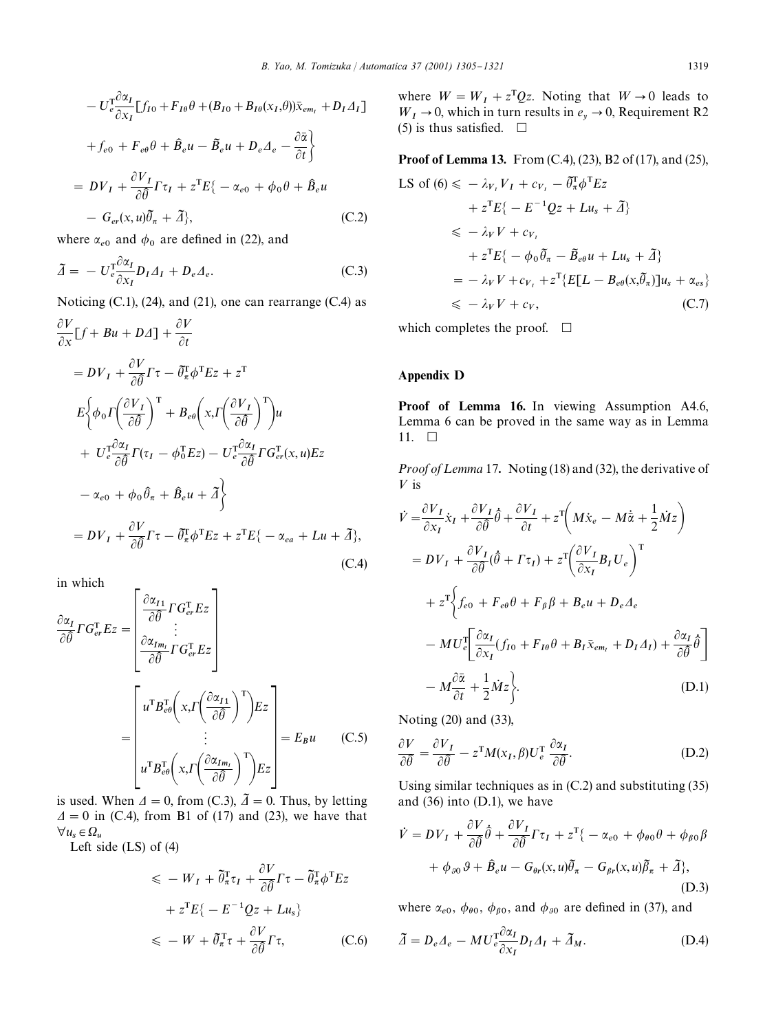$$
- U_c^T \frac{\partial \alpha_I}{\partial x_I} [f_{I0} + F_{I\theta} \theta + (B_{I0} + B_{I\theta}(x_I, \theta)) \bar{x}_{em_I} + D_I \Delta_I]
$$
  
+  $f_{e0} + F_{e\theta} \theta + \hat{B}_e u - \tilde{B}_e u + D_e \Delta_e - \frac{\partial \bar{\alpha}}{\partial t}$   
=  $D V_I + \frac{\partial V_I}{\partial \hat{\theta}} \Gamma \tau_I + z^T E \{- \alpha_{e0} + \phi_0 \theta + \hat{B}_e u$   
-  $G_{er}(x, u) \tilde{\theta}_{\pi} + \tilde{\Delta} \},$  (C.2)

where  $\alpha_{e0}$  and  $\phi_0$  are defined in (22), and

$$
\tilde{\Delta} = -U_e^{\text{T}} \frac{\partial \alpha_I}{\partial x_I} D_I \Delta_I + D_e \Delta_e. \tag{C.3}
$$

Noticing (C.1), (24), and (21), one can rearrange (C.4) as

$$
\frac{\partial V}{\partial x}[f + Bu + D\Delta] + \frac{\partial V}{\partial t}
$$
\n
$$
= DV_I + \frac{\partial V}{\partial \theta}\Gamma\tau - \tilde{\theta}_n^T\phi^T Ez + z^T
$$
\n
$$
E\left\{\phi_0 \Gamma\left(\frac{\partial V_I}{\partial \theta}\right)^T + B_{e\theta}\left(x, \Gamma\left(\frac{\partial V_I}{\partial \theta}\right)^T\right)u + U_e^T \frac{\partial \alpha_I}{\partial \theta}\Gamma(\tau_I - \phi_0^T Ez) - U_e^T \frac{\partial \alpha_I}{\partial \theta}\Gamma G_{er}^T(x, u)Ez - \alpha_{e0} + \phi_0 \hat{\theta}_n + \hat{B}_e u + \tilde{\Delta}\right\}
$$
\n
$$
= DV_I + \frac{\partial V}{\partial \tilde{\theta}}\Gamma\tau - \tilde{\theta}_n^T\phi^T Ez + z^T E\{-\alpha_{ea} + Lu + \tilde{\Delta}\}, \tag{C.4}
$$

in which

Ē

$$
\frac{\partial \alpha_I}{\partial \hat{\theta}} \Gamma G_{er}^{\mathrm{T}} E_z = \begin{bmatrix} \frac{\partial \alpha_{I1}}{\partial \hat{\theta}} \Gamma G_{er}^{\mathrm{T}} E_z\\ \vdots\\ \frac{\partial \alpha_{Im_I}}{\partial \hat{\theta}} \Gamma G_{er}^{\mathrm{T}} E_z \end{bmatrix}
$$
\n
$$
= \begin{bmatrix} u^{\mathrm{T}} B_{eq}^{\mathrm{T}} \left( x, \Gamma \left( \frac{\partial \alpha_{I1}}{\partial \hat{\theta}} \right)^{\mathrm{T}} \right) E_z\\ \vdots\\ u^{\mathrm{T}} B_{eq}^{\mathrm{T}} \left( x, \Gamma \left( \frac{\partial \alpha_{Im_I}}{\partial \hat{\theta}} \right)^{\mathrm{T}} \right) E_z \end{bmatrix} = E_B u \quad (C.5)
$$

is used. When  $\Delta = 0$ , from (C.3),  $\tilde{\Delta} = 0$ . Thus, by letting  $\Delta = 0$  in (C.4), from B1 of (17) and (23), we have that  $\forall u_s \in \Omega_u$ 

Left side (LS) of (4)

$$
\leqslant -W_{I} + \tilde{\theta}_{\pi}^{T} \tau_{I} + \frac{\partial V}{\partial \hat{\theta}} \Gamma \tau - \tilde{\theta}_{\pi}^{T} \phi^{T} E z
$$

$$
+ z^{T} E \{ -E^{-1} Q z + L u_{s} \}
$$

$$
\leqslant -W + \tilde{\theta}_{\pi}^{T} \tau + \frac{\partial V}{\partial \hat{\theta}} \Gamma \tau, \qquad (C.6)
$$

where  $W = W_I + z^T Qz$ . Noting that  $W \to 0$  leads to  $W_I \rightarrow 0$ , which in turn results in  $e_y \rightarrow 0$ , Requirement R2 (5) is thus satisfied.  $\Box$ 

Proof of Lemma 13. From (C.4), (23), B2 of (17), and (25),

$$
\begin{split} \text{LS of (6)} &\leq \ -\lambda_{V_{I}} V_{I} + c_{V_{I}} - \tilde{\theta}_{\pi}^{\text{T}} \phi^{\text{T}} Ez \\ &+ z^{\text{T}} E\{-E^{-1}Qz + Lu_{s} + \tilde{A}\} \\ &\leq \ -\lambda_{V} V + c_{V_{I}} \\ &+ z^{\text{T}} E\{-\phi_{0} \tilde{\theta}_{\pi} - \tilde{B}_{e\theta} u + Lu_{s} + \tilde{A}\} \\ &= -\lambda_{V} V + c_{V_{I}} + z^{\text{T}} \{E[L - B_{e\theta}(x, \tilde{\theta}_{\pi})]u_{s} + \alpha_{es}\} \\ &\leqslant \ -\lambda_{V} V + c_{V}, \end{split}
$$

which completes the proof.  $\Box$ 

## Appendix D

Proof of Lemma 16. In viewing Assumption A4.6, Lemma 6 can be proved in the same way as in Lemma 11.  $\Box$ 

*Proof of Lemma* 17. Noting (18) and (32), the derivative of  $V$  is

$$
\dot{V} = \frac{\partial V_I}{\partial x_I} \dot{x}_I + \frac{\partial V_I}{\partial \theta} \hat{\theta} + \frac{\partial V_I}{\partial t} + z^{\text{T}} \bigg( M \dot{x}_e - M \dot{\bar{x}} + \frac{1}{2} \dot{M} z \bigg)
$$
\n
$$
= DV_I + \frac{\partial V_I}{\partial \hat{\theta}} (\hat{\theta} + \Gamma \tau_I) + z^{\text{T}} \bigg( \frac{\partial V_I}{\partial x_I} B_I U_e \bigg)^{\text{T}}
$$
\n
$$
+ z^{\text{T}} \bigg\{ f_{e0} + F_{e\theta} \theta + F_{\beta} \beta + B_e u + D_e A_e
$$
\n
$$
- MU_e^{\text{T}} \bigg[ \frac{\partial \alpha_I}{\partial x_I} (f_{I0} + F_{I\theta} \theta + B_I \bar{x}_{em_I} + D_I A_I) + \frac{\partial \alpha_I}{\partial \hat{\theta}} \hat{\theta} \bigg]
$$
\n
$$
- M \frac{\partial \bar{\alpha}}{\partial t} + \frac{1}{2} \dot{M} z \bigg\}.
$$
\n(D.1)

Noting (20) and (33),

$$
\frac{\partial V}{\partial \hat{\theta}} = \frac{\partial V_I}{\partial \hat{\theta}} - z^{\mathrm{T}} M(x_I, \beta) U_e^{\mathrm{T}} \frac{\partial \alpha_I}{\partial \hat{\theta}}.
$$
 (D.2)

Using similar techniques as in (C.2) and substituting (35) and (36) into (D.1), we have

$$
\dot{V} = DV_I + \frac{\partial V}{\partial \hat{\theta}} \hat{\theta} + \frac{\partial V_I}{\partial \hat{\theta}} \Gamma \tau_I + z^{\text{T}} \{- \alpha_{e0} + \phi_{\theta 0} \theta + \phi_{\beta 0} \beta + \phi_{\beta 0} \theta + \beta_{\theta 0} \theta + \hat{\theta}_{\theta 0} \theta + \hat{\theta}_{\theta} \theta - G_{\theta r}(x, u) \tilde{\theta}_{\pi} + \tilde{\Delta} \},
$$
\n(D.3)

where  $\alpha_{e0}$ ,  $\phi_{\theta 0}$ ,  $\phi_{\beta 0}$ , and  $\phi_{\beta 0}$  are defined in (37), and

$$
\tilde{\Delta} = D_e \Delta_e - MU_e^{\text{T}} \frac{\partial \alpha_I}{\partial x_I} D_I \Delta_I + \tilde{\Delta}_M. \tag{D.4}
$$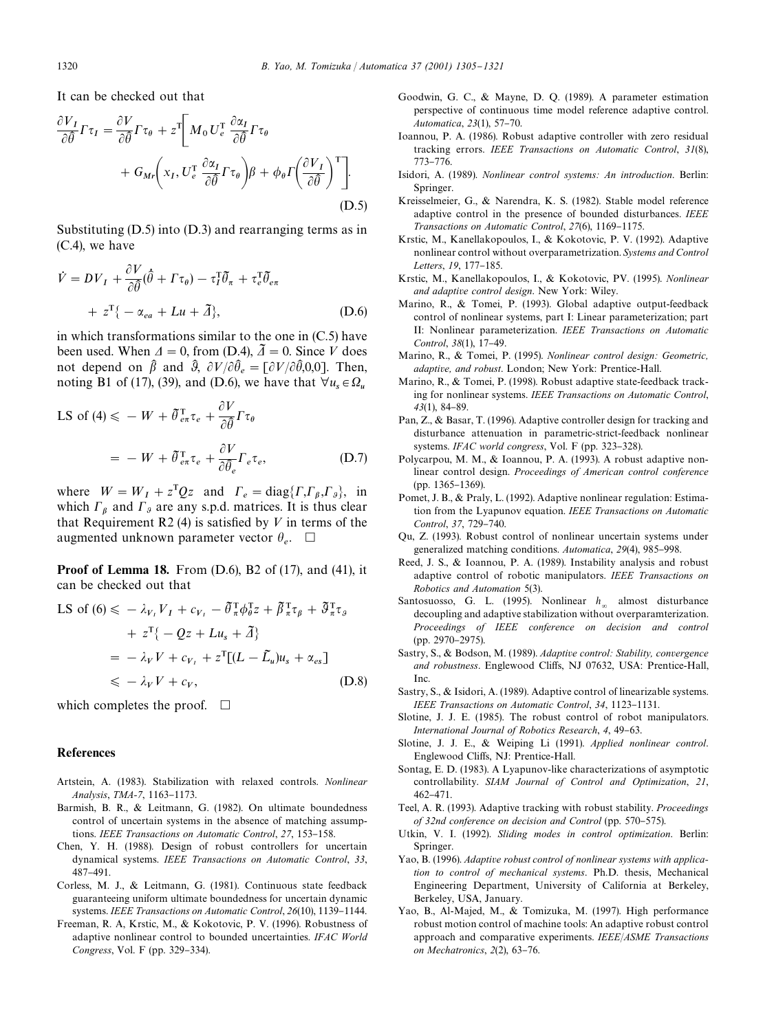It can be checked out that

$$
\frac{\partial V_I}{\partial \hat{\theta}} \Gamma \tau_I = \frac{\partial V}{\partial \hat{\theta}} \Gamma \tau_{\theta} + z^{\text{T}} \bigg[ M_0 U_e^{\text{T}} \frac{\partial \alpha_I}{\partial \hat{\theta}} \Gamma \tau_{\theta} \n+ G_{Mr} \bigg( x_I, U_e^{\text{T}} \frac{\partial \alpha_I}{\partial \hat{\theta}} \Gamma \tau_{\theta} \bigg) \beta + \phi_{\theta} \Gamma \bigg( \frac{\partial V_I}{\partial \hat{\theta}} \bigg)^{\text{T}} \bigg].
$$
\n(D.5)

Substituting (D.5) into (D.3) and rearranging terms as in (C.4), we have

$$
\dot{V} = DV_I + \frac{\partial V}{\partial \hat{\theta}} (\hat{\theta} + \Gamma \tau_{\theta}) - \tau_I^{\mathrm{T}} \tilde{\theta}_{\pi} + \tau_{e}^{\mathrm{T}} \tilde{\theta}_{e\pi} \n+ z^{\mathrm{T}} \{ - \alpha_{ea} + Lu + \tilde{A} \}, \tag{D.6}
$$

in which transformations similar to the one in (C.5) have been used. When  $\Delta = 0$ , from (D.4),  $\tilde{\Delta} = 0$ . Since V does not depend on  $\hat{\beta}$  and  $\hat{\beta}$ ,  $\partial V/\partial \hat{\theta}_e = [\partial V/\partial \hat{\theta}, 0, 0]$ . Then, noting B1 of (17), (39), and (D.6), we have that  $\forall u_s \in \Omega_u$ 

LS of (4) 
$$
\leq
$$
 - W +  $\tilde{\theta}_{e\pi}^T \tau_e + \frac{\partial V}{\partial \tilde{\theta}} \Gamma \tau_{\theta}$   
= - W +  $\tilde{\theta}_{e\pi}^T \tau_e + \frac{\partial V}{\partial \tilde{\theta}_e} \Gamma_e \tau_e$ , (D.7)

where  $W = W_I + z^T Q z$  and  $\Gamma_e = \text{diag}\{\Gamma, \Gamma_\beta, \Gamma_\beta\}$ , in which  $\Gamma_{\beta}$  and  $\Gamma_{\beta}$  are any s.p.d. matrices. It is thus clear that Requirement R2 (4) is satisfied by V in terms of the augmented unknown parameter vector  $\theta_e$ .  $\Box$ 

Proof of Lemma 18. From (D.6), B2 of (17), and (41), it can be checked out that

LS of (6) 
$$
\leq
$$
  $-\lambda_{V_1} V_1 + c_{V_1} - \tilde{\theta}_{\pi}^{\top} \phi_{\theta}^{\top} z + \tilde{\beta}_{\pi}^{\top} \tau_{\theta} + \tilde{\theta}_{\pi}^{\top} \tau_{\theta}$   
\t\t\t\t $+ z^{\top} \{-Qz + Lu_s + \tilde{A}\}$   
\t\t\t\t $= -\lambda_{V} V + c_{V_1} + z^{\top} [(L - \tilde{L}_u) u_s + \alpha_{es}]$   
\t\t\t $\leq$   $-\lambda_{V} V + c_{V_2},$  (D.8)

which completes the proof.  $\Box$ 

#### References

- Artstein, A. (1983). Stabilization with relaxed controls. *Nonlinear Analysis*, *TMA-7*, 1163-1173.
- Barmish, B. R., & Leitmann, G. (1982). On ultimate boundedness control of uncertain systems in the absence of matching assumptions. *IEEE Transactions on Automatic Control*, 27, 153-158.
- Chen, Y. H. (1988). Design of robust controllers for uncertain dynamical systems. *IEEE Transactions on Automatic Control*, *33*, 487-491.
- Corless, M. J., & Leitmann, G. (1981). Continuous state feedback guaranteeing uniform ultimate boundedness for uncertain dynamic systems. *IEEE Transactions on Automatic Control*, 26(10), 1139-1144.
- Freeman, R.A, Krstic, M., & Kokotovic, P.V.(1996).Robustness of adaptive nonlinear control to bounded uncertainties. *IFAC World Congress*, Vol. F (pp. 329-334).
- Goodwin, G.C., & Mayne, D.Q.(1989).A parameter estimation perspective of continuous time model reference adaptive control. *Automatica*, 23(1), 57-70.
- Ioannou, P.A.(1986).Robust adaptive controller with zero residual tracking errors. *IEEE Transactions on Automatic Control*, *31*(8), 773-776.
- Isidori, A.(1989). *Nonlinear control systems: An introduction*.Berlin: Springer.
- Kreisselmeier, G., & Narendra, K. S. (1982). Stable model reference adaptive control in the presence of bounded disturbances. *IEEE Transactions on Automatic Control, 27(6), 1169-1175.*
- Krstic, M., Kanellakopoulos, I., & Kokotovic, P. V. (1992). Adaptive nonlinear control without overparametrization. *Systems and Control Letters*, 19, 177-185.
- Krstic, M., Kanellakopoulos, I., & Kokotovic, PV. (1995). *Nonlinear and adaptive control design*.New York: Wiley.
- Marino, R., & Tomei, P. (1993). Global adaptive output-feedback control of nonlinear systems, part I: Linear parameterization; part II: Nonlinear parameterization. *IEEE Transactions on Automatic Control, 38*(1), 17-49.
- Marino, R., & Tomei, P. (1995). *Nonlinear control design: Geometric, adaptive, and robust*.London; New York: Prentice-Hall.
- Marino, R., & Tomei, P. (1998). Robust adaptive state-feedback tracking for nonlinear systems. *IEEE Transactions on Automatic Control*, 43(1), 84-89.
- Pan, Z., & Basar, T. (1996). Adaptive controller design for tracking and disturbance attenuation in parametric-strict-feedback nonlinear systems. *IFAC world congress*, Vol. F (pp. 323-328).
- Polycarpou, M. M., & Ioannou, P. A. (1993). A robust adaptive nonlinear control design. *Proceedings of American control conference*  $(pp. 1365 - 1369)$ .
- Pomet, J. B., & Praly, L. (1992). Adaptive nonlinear regulation: Estimation from the Lyapunov equation. *IEEE Transactions on Automatic Control, 37, 729-740.*
- Qu, Z.(1993).Robust control of nonlinear uncertain systems under generalized matching conditions. *Automatica*, 29(4), 985-998.
- Reed, J. S., & Ioannou, P. A. (1989). Instability analysis and robust adaptive control of robotic manipulators. *IEEE Transactions on Robotics and Automation* 5(3).
- Santosuosso, G. L. (1995). Nonlinear  $h_{\infty}$  almost disturbance decoupling and adaptive stabilization without overparamterization. *Proceedings of IEEE conference on decision and control* (pp. 2970-2975).
- Sastry, S., & Bodson, M. (1989). *Adaptive control: Stability, convergence* and robustness. Englewood Cliffs, NJ 07632, USA: Prentice-Hall, Inc.
- Sastry, S., & Isidori, A. (1989). Adaptive control of linearizable systems. *IEEE Transactions on Automatic Control, 34, 1123-1131.*
- Slotine, J. J. E. (1985). The robust control of robot manipulators. *International Journal of Robotics Research, 4, 49-63.*
- Slotine, J.J.E., & Weiping Li (1991). *Applied nonlinear control*. Englewood Cliffs, NJ: Prentice-Hall.
- Sontag, E.D.(1983).A Lyapunov-like characterizations of asymptotic controllability. *SIAM Journal of Control and Optimization*, *21*,  $462 - 471$ .
- Teel, A.R.(1993).Adaptive tracking with robust stability. *Proceedings of 32nd conference on decision and Control* (pp. 570–575).
- Utkin, V. I. (1992). *Sliding modes in control optimization*. Berlin: Springer.
- Yao, B.(1996). *Adaptive robust control of nonlinear systems with applica*tion to control of mechanical systems. Ph.D. thesis, Mechanical Engineering Department, University of California at Berkeley, Berkeley, USA, January.
- Yao, B., Al-Majed, M., & Tomizuka, M. (1997). High performance robust motion control of machine tools: An adaptive robust control approach and comparative experiments. *IEEE*/*ASME Transactions on Mechatronics*, 2(2), 63-76.